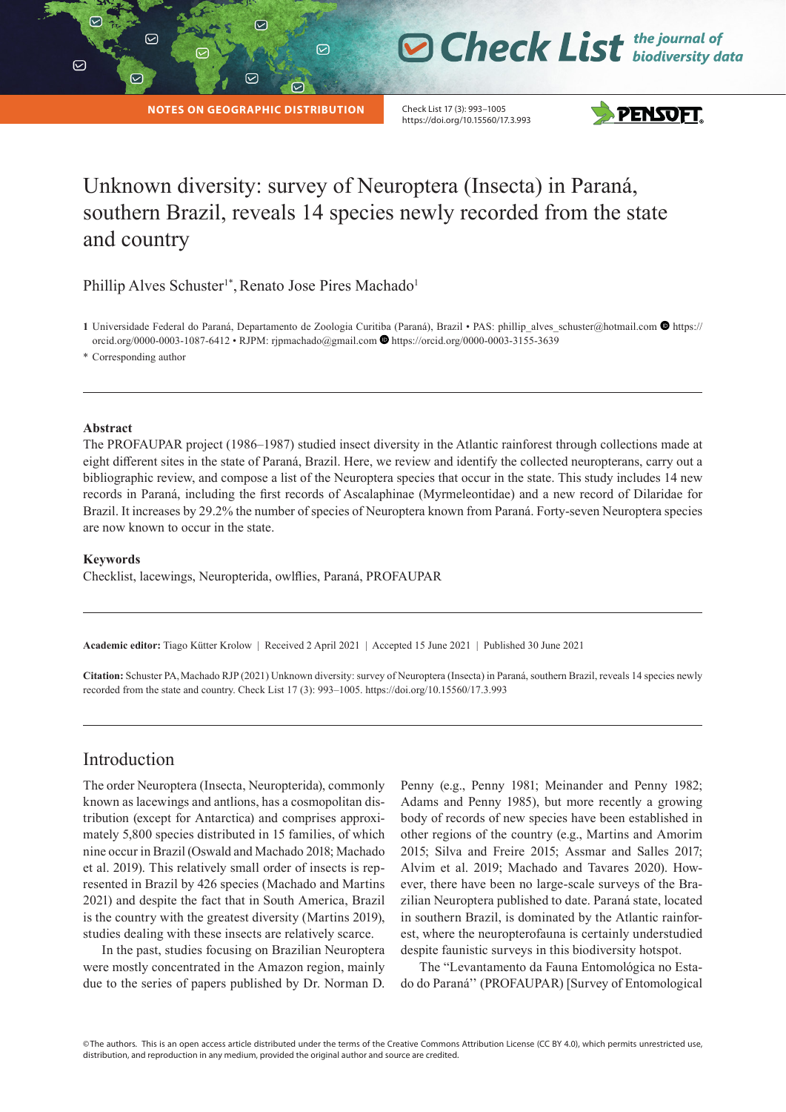$\triangledown$ 

|

# **O Check List** the journal of

**NOTES ON GEOGRAPHIC DISTRIBUTION**

☑

 $\odot$ 

 $\odot$ 

Check List 17 (3): 993–1005 https://doi.org/10.15560/17.3.993



## Unknown diversity: survey of Neuroptera (Insecta) in Paraná, southern Brazil, reveals 14 species newly recorded from the state and country

Phillip Alves Schuster<sup>1\*</sup>, Renato Jose Pires Machado<sup>1</sup>

1 Universidade Federal do Paraná, Departamento de Zoologia Curitiba (Paraná), Brazil • PAS: phillip\_alves\_schuster@hotmail.com <sup>1</sup> [https://](https://orcid.org/0000-0003-1087-6412?lang=en) [orcid.org/0000-0003-1087-6412](https://orcid.org/0000-0003-1087-6412?lang=en) • RJPM: [rjpmachado@gmail.com](mailto:rjpmachado@gmail.com) <https://orcid.org/0000-0003-3155-3639>

\* Corresponding author

#### **Abstract**

The PROFAUPAR project (1986–1987) studied insect diversity in the Atlantic rainforest through collections made at eight different sites in the state of Paraná, Brazil. Here, we review and identify the collected neuropterans, carry out a bibliographic review, and compose a list of the Neuroptera species that occur in the state. This study includes 14 new records in Paraná, including the first records of Ascalaphinae (Myrmeleontidae) and a new record of Dilaridae for Brazil. It increases by 29.2% the number of species of Neuroptera known from Paraná. Forty-seven Neuroptera species are now known to occur in the state.

#### **Keywords**

Checklist, lacewings, Neuropterida, owlflies, Paraná, PROFAUPAR

**Academic editor:** Tiago Kütter Krolow | Received 2 April 2021 | Accepted 15 June 2021 | Published 30 June 2021

**Citation:** Schuster PA,Machado RJP (2021) Unknown diversity: survey of Neuroptera (Insecta) in Paraná, southern Brazil, reveals 14 species newly recorded from the state and country. Check List 17 (3): 993–1005. https://doi.org/10.15560/17.3.993

## Introduction

The order Neuroptera (Insecta, Neuropterida), commonly known as lacewings and antlions, has a cosmopolitan distribution (except for Antarctica) and comprises approximately 5,800 species distributed in 15 families, of which nine occur in Brazil (Oswald and Machado 2018; Machado et al. 2019). This relatively small order of insects is represented in Brazil by 426 species (Machado and Martins 2021) and despite the fact that in South America, Brazil is the country with the greatest diversity (Martins 2019), studies dealing with these insects are relatively scarce.

In the past, studies focusing on Brazilian Neuroptera were mostly concentrated in the Amazon region, mainly due to the series of papers published by Dr. Norman D. Penny (e.g., Penny 1981; Meinander and Penny 1982; Adams and Penny 1985), but more recently a growing body of records of new species have been established in other regions of the country (e.g., Martins and Amorim 2015; Silva and Freire 2015; Assmar and Salles 2017; Alvim et al. 2019; Machado and Tavares 2020). However, there have been no large-scale surveys of the Brazilian Neuroptera published to date. Paraná state, located in southern Brazil, is dominated by the Atlantic rainforest, where the neuropterofauna is certainly understudied despite faunistic surveys in this biodiversity hotspot.

The "Levantamento da Fauna Entomológica no Estado do Paraná'' (PROFAUPAR) [Survey of Entomological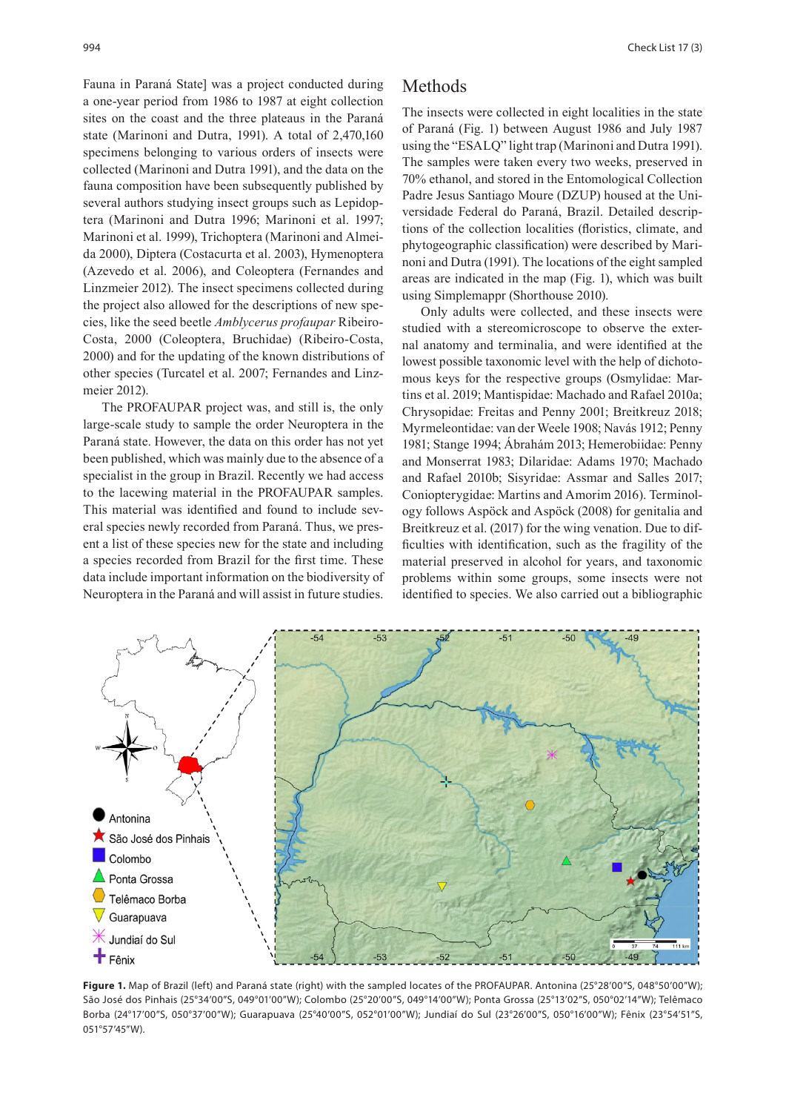Fauna in Paraná State] was a project conducted during a one-year period from 1986 to 1987 at eight collection sites on the coast and the three plateaus in the Paraná state (Marinoni and Dutra, 1991). A total of 2,470,160 specimens belonging to various orders of insects were collected (Marinoni and Dutra 1991), and the data on the fauna composition have been subsequently published by several authors studying insect groups such as Lepidoptera (Marinoni and Dutra 1996; Marinoni et al. 1997; Marinoni et al. 1999), Trichoptera (Marinoni and Almeida 2000), Diptera (Costacurta et al. 2003), Hymenoptera (Azevedo et al. 2006), and Coleoptera (Fernandes and Linzmeier 2012). The insect specimens collected during the project also allowed for the descriptions of new species, like the seed beetle *Amblycerus profaupar* Ribeiro-Costa, 2000 (Coleoptera, Bruchidae) (Ribeiro-Costa, 2000) and for the updating of the known distributions of other species (Turcatel et al. 2007; Fernandes and Linzmeier 2012).

The PROFAUPAR project was, and still is, the only large-scale study to sample the order Neuroptera in the Paraná state. However, the data on this order has not yet been published, which was mainly due to the absence of a specialist in the group in Brazil. Recently we had access to the lacewing material in the PROFAUPAR samples. This material was identified and found to include several species newly recorded from Paraná. Thus, we present a list of these species new for the state and including a species recorded from Brazil for the first time. These data include important information on the biodiversity of Neuroptera in the Paraná and will assist in future studies.

## Methods

The insects were collected in eight localities in the state of Paraná (Fig. 1) between August 1986 and July 1987 using the "ESALQ" light trap (Marinoni and Dutra 1991). The samples were taken every two weeks, preserved in 70% ethanol, and stored in the Entomological Collection Padre Jesus Santiago Moure (DZUP) housed at the Universidade Federal do Paraná, Brazil. Detailed descriptions of the collection localities (floristics, climate, and phytogeographic classification) were described by Marinoni and Dutra (1991). The locations of the eight sampled areas are indicated in the map (Fig. 1), which was built using Simplemappr (Shorthouse 2010).

Only adults were collected, and these insects were studied with a stereomicroscope to observe the external anatomy and terminalia, and were identified at the lowest possible taxonomic level with the help of dichotomous keys for the respective groups (Osmylidae: Martins et al. 2019; Mantispidae: Machado and Rafael 2010a; Chrysopidae: Freitas and Penny 2001; Breitkreuz 2018; Myrmeleontidae: van der Weele 1908; Navás 1912; Penny 1981; Stange 1994; Ábrahám 2013; Hemerobiidae: Penny and Monserrat 1983; Dilaridae: Adams 1970; Machado and Rafael 2010b; Sisyridae: Assmar and Salles 2017; Coniopterygidae: Martins and Amorim 2016). Terminology follows Aspöck and Aspöck (2008) for genitalia and Breitkreuz et al. (2017) for the wing venation. Due to difficulties with identification, such as the fragility of the material preserved in alcohol for years, and taxonomic problems within some groups, some insects were not identified to species. We also carried out a bibliographic



Figure 1. Map of Brazil (left) and Paraná state (right) with the sampled locates of the PROFAUPAR. Antonina (25°28'00"S, 048°50'00"W); São José dos Pinhais (25°34'00"S, 049°01'00"W); Colombo (25°20'00"S, 049°14'00"W); Ponta Grossa (25°13'02"S, 050°02'14"W); Telêmaco Borba (24°17'00"S, 050°37'00"W); Guarapuava (25°40'00"S, 052°01'00"W); Jundiaí do Sul (23°26'00"S, 050°16'00"W); Fênix (23°54'51"S, 051°57'45"W).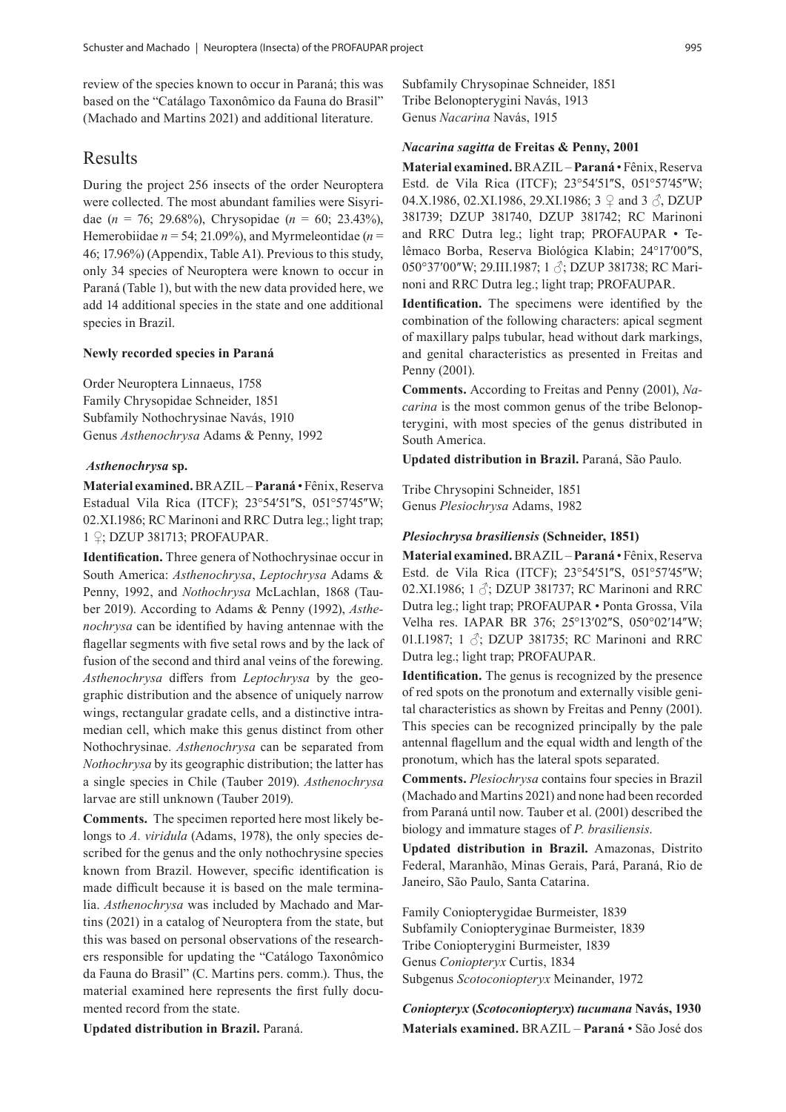review of the species known to occur in Paraná; this was based on the "Catálago Taxonômico da Fauna do Brasil" (Machado and Martins 2021) and additional literature.

## Results

During the project 256 insects of the order Neuroptera were collected. The most abundant families were Sisyridae (*n* = 76; 29.68%), Chrysopidae (*n* = 60; 23.43%), Hemerobiidae  $n = 54$ ; 21.09%), and Myrmeleontidae ( $n =$ 46; 17.96%) (Appendix, Table A1). Previous to this study, only 34 species of Neuroptera were known to occur in Paraná (Table 1), but with the new data provided here, we add 14 additional species in the state and one additional species in Brazil.

### **Newly recorded species in Paraná**

Order Neuroptera Linnaeus, 1758 Family Chrysopidae Schneider, 1851 Subfamily Nothochrysinae Navás, 1910 Genus *Asthenochrysa* Adams & Penny, 1992

#### *Asthenochrysa* **sp.**

**Material examined.** BRAZIL – **Paraná** • Fênix, Reserva Estadual Vila Rica (ITCF); 23°54'51"S, 051°57'45"W; 02.XI.1986; RC Marinoni and RRC Dutra leg.; light trap; 1 ♀; DZUP 381713; PROFAUPAR.

**Identification.** Three genera of Nothochrysinae occur in South America: *Asthenochrysa*, *Leptochrysa* Adams & Penny, 1992, and *Nothochrysa* McLachlan, 1868 (Tauber 2019). According to Adams & Penny (1992), *Asthenochrysa* can be identified by having antennae with the flagellar segments with five setal rows and by the lack of fusion of the second and third anal veins of the forewing. *Asthenochrysa* differs from *Leptochrysa* by the geographic distribution and the absence of uniquely narrow wings, rectangular gradate cells, and a distinctive intramedian cell, which make this genus distinct from other Nothochrysinae. *Asthenochrysa* can be separated from *Nothochrysa* by its geographic distribution; the latter has a single species in Chile (Tauber 2019). *Asthenochrysa* larvae are still unknown (Tauber 2019).

**Comments.** The specimen reported here most likely belongs to *A. viridula* (Adams, 1978), the only species described for the genus and the only nothochrysine species known from Brazil. However, specific identification is made difficult because it is based on the male terminalia. *Asthenochrysa* was included by Machado and Martins (2021) in a catalog of Neuroptera from the state, but this was based on personal observations of the researchers responsible for updating the "Catálogo Taxonômico da Fauna do Brasil" (C. Martins pers. comm.). Thus, the material examined here represents the first fully documented record from the state.

Subfamily Chrysopinae Schneider, 1851 Tribe Belonopterygini Navás, 1913 Genus *Nacarina* Navás, 1915

#### *Nacarina sagitta* **de Freitas & Penny, 2001**

**Material examined.** BRAZIL – **Paraná** • Fênix, Reserva Estd. de Vila Rica (ITCF); 23°54'51"S, 051°57'45"W; 04.X.1986, 02.XI.1986, 29.XI.1986; 3  $\varphi$  and 3  $\varphi$ , DZUP 381739; DZUP 381740, DZUP 381742; RC Marinoni and RRC Dutra leg.; light trap; PROFAUPAR • Telêmaco Borba, Reserva Biológica Klabin; 24°17'00"S, 050°37′00"W; 29.III.1987; 1 3; DZUP 381738; RC Marinoni and RRC Dutra leg.; light trap; PROFAUPAR.

**Identification.** The specimens were identified by the combination of the following characters: apical segment of maxillary palps tubular, head without dark markings, and genital characteristics as presented in Freitas and Penny (2001).

**Comments.** According to Freitas and Penny (2001), *Nacarina* is the most common genus of the tribe Belonopterygini, with most species of the genus distributed in South America.

**Updated distribution in Brazil.** Paraná, São Paulo.

Tribe Chrysopini Schneider, 1851 Genus *Plesiochrysa* Adams, 1982

#### *Plesiochrysa brasiliensis* **(Schneider, 1851)**

**Material examined.** BRAZIL – **Paraná** • Fênix, Reserva Estd. de Vila Rica (ITCF); 23°54'51"S, 051°57'45"W; 02.XI.1986; 1  $\Diamond$ ; DZUP 381737; RC Marinoni and RRC Dutra leg.; light trap; PROFAUPAR • Ponta Grossa, Vila Velha res. IAPAR BR 376; 25°13'02"S, 050°02'14"W; 01.I.1987; 1  $\Diamond$ ; DZUP 381735; RC Marinoni and RRC Dutra leg.; light trap; PROFAUPAR.

**Identification.** The genus is recognized by the presence of red spots on the pronotum and externally visible genital characteristics as shown by Freitas and Penny (2001). This species can be recognized principally by the pale antennal flagellum and the equal width and length of the pronotum, which has the lateral spots separated.

**Comments.** *Plesiochrysa* contains four species in Brazil (Machado and Martins 2021) and none had been recorded from Paraná until now. Tauber et al. (2001) described the biology and immature stages of *P. brasiliensis*.

**Updated distribution in Brazil.** Amazonas, Distrito Federal, Maranhão, Minas Gerais, Pará, Paraná, Rio de Janeiro, São Paulo, Santa Catarina.

Family Coniopterygidae Burmeister, 1839 Subfamily Coniopteryginae Burmeister, 1839 Tribe Coniopterygini Burmeister, 1839 Genus *Coniopteryx* Curtis, 1834 Subgenus *Scotoconiopteryx* Meinander, 1972

*Coniopteryx* **(***Scotoconiopteryx***)** *tucumana* **Navás, 1930 Materials examined.** BRAZIL – **Paraná** • São José dos

**Updated distribution in Brazil.** Paraná.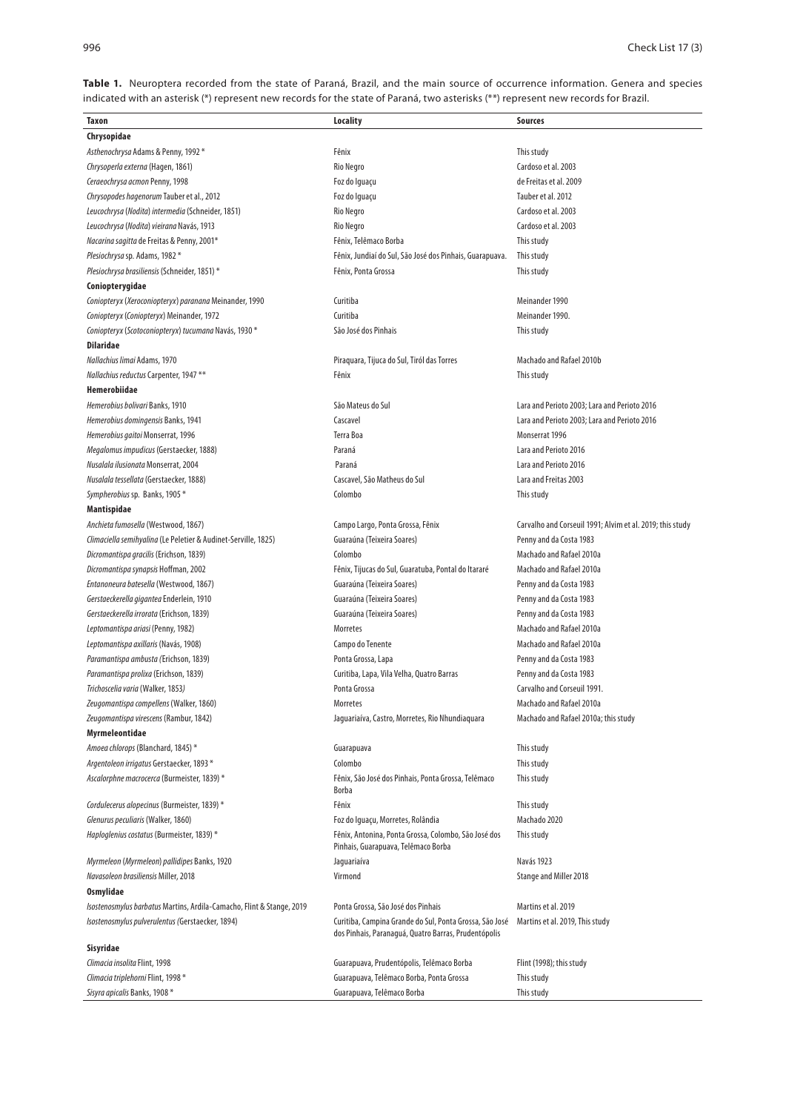Table 1. Neuroptera recorded from the state of Paraná, Brazil, and the main source of occurrence information. Genera and species indicated with an asterisk (\*) represent new records for the state of Paraná, two asterisks (\*\*) represent new records for Brazil.

| Taxon                                                                        | Locality                                                                                                        | Sources                                                   |
|------------------------------------------------------------------------------|-----------------------------------------------------------------------------------------------------------------|-----------------------------------------------------------|
| Chrysopidae                                                                  |                                                                                                                 |                                                           |
| Asthenochrysa Adams & Penny, 1992*                                           | Fênix                                                                                                           | This study                                                |
| Chrysoperla externa (Hagen, 1861)                                            | Rio Negro                                                                                                       | Cardoso et al. 2003                                       |
| Ceraeochrysa acmon Penny, 1998                                               | Foz do Iguaçu                                                                                                   | de Freitas et al. 2009                                    |
| Chrysopodes hagenorum Tauber et al., 2012                                    | Foz do Iguaçu                                                                                                   | Tauber et al. 2012                                        |
| Leucochrysa (Nodita) intermedia (Schneider, 1851)                            | Rio Negro                                                                                                       | Cardoso et al. 2003                                       |
| Leucochrysa (Nodita) vieirana Navás, 1913                                    | <b>Rio Negro</b>                                                                                                | Cardoso et al. 2003                                       |
| Nacarina sagitta de Freitas & Penny, 2001*                                   | Fênix, Telêmaco Borba                                                                                           | This study                                                |
| Plesiochrysa sp. Adams, 1982 *                                               | Fênix, Jundiaí do Sul, São José dos Pinhais, Guarapuava.                                                        | This study                                                |
| Plesiochrysa brasiliensis (Schneider, 1851) *                                | Fênix, Ponta Grossa                                                                                             | This study                                                |
| Coniopterygidae                                                              |                                                                                                                 |                                                           |
| Coniopteryx (Xeroconiopteryx) paranana Meinander, 1990                       | Curitiba                                                                                                        | Meinander 1990                                            |
| Coniopteryx (Coniopteryx) Meinander, 1972                                    | Curitiba                                                                                                        | Meinander 1990.                                           |
| Coniopteryx (Scotoconiopteryx) tucumana Navás, 1930*                         | São José dos Pinhais                                                                                            | This study                                                |
| <b>Dilaridae</b>                                                             |                                                                                                                 |                                                           |
| Nallachius limai Adams, 1970                                                 | Piraquara, Tijuca do Sul, Tiról das Torres                                                                      | Machado and Rafael 2010b                                  |
| Nallachius reductus Carpenter, 1947**                                        | Fênix                                                                                                           | This study                                                |
| Hemerobiidae                                                                 |                                                                                                                 |                                                           |
| Hemerobius bolivari Banks, 1910                                              | São Mateus do Sul                                                                                               | Lara and Perioto 2003; Lara and Perioto 2016              |
| Hemerobius domingensis Banks, 1941                                           | Cascavel                                                                                                        | Lara and Perioto 2003; Lara and Perioto 2016              |
| Hemerobius gaitoi Monserrat, 1996                                            | Terra Boa                                                                                                       | Monserrat 1996                                            |
| Megalomus impudicus (Gerstaecker, 1888)                                      | Paraná                                                                                                          | Lara and Perioto 2016                                     |
| Nusalala ilusionata Monserrat, 2004                                          | Paraná                                                                                                          | Lara and Perioto 2016                                     |
| Nusalala tessellata (Gerstaecker, 1888)                                      | Cascavel, São Matheus do Sul                                                                                    | Lara and Freitas 2003                                     |
| Sympherobius sp. Banks, 1905*                                                | Colombo                                                                                                         | This study                                                |
| Mantispidae                                                                  |                                                                                                                 |                                                           |
| Anchieta fumosella (Westwood, 1867)                                          | Campo Largo, Ponta Grossa, Fênix                                                                                | Carvalho and Corseuil 1991; Alvim et al. 2019; this study |
| Climaciella semihyalina (Le Peletier & Audinet-Serville, 1825)               | Guaraúna (Teixeira Soares)                                                                                      | Penny and da Costa 1983                                   |
| Dicromantispa gracilis (Erichson, 1839)                                      | Colombo                                                                                                         | Machado and Rafael 2010a                                  |
| Dicromantispa synapsis Hoffman, 2002                                         | Fênix, Tijucas do Sul, Guaratuba, Pontal do Itararé                                                             | Machado and Rafael 2010a                                  |
| Entanoneura batesella (Westwood, 1867)                                       | Guaraúna (Teixeira Soares)                                                                                      | Penny and da Costa 1983                                   |
| Gerstaeckerella gigantea Enderlein, 1910                                     | Guaraúna (Teixeira Soares)                                                                                      | Penny and da Costa 1983                                   |
| Gerstaeckerella irrorata (Erichson, 1839)                                    | Guaraúna (Teixeira Soares)                                                                                      | Penny and da Costa 1983                                   |
| Leptomantispa ariasi (Penny, 1982)                                           | <b>Morretes</b>                                                                                                 | Machado and Rafael 2010a                                  |
| Leptomantispa axillaris (Navás, 1908)                                        | Campo do Tenente                                                                                                | Machado and Rafael 2010a                                  |
| Paramantispa ambusta (Erichson, 1839)                                        | Ponta Grossa, Lapa                                                                                              | Penny and da Costa 1983                                   |
| Paramantispa prolixa (Erichson, 1839)                                        | Curitiba, Lapa, Vila Velha, Quatro Barras                                                                       | Penny and da Costa 1983                                   |
| Trichoscelia varia (Walker, 1853)                                            | Ponta Grossa                                                                                                    | Carvalho and Corseuil 1991.                               |
| Zeugomantispa compellens (Walker, 1860)                                      | Morretes                                                                                                        | Machado and Rafael 2010a                                  |
| Zeugomantispa virescens (Rambur, 1842)                                       | Jaguariaíva, Castro, Morretes, Rio Nhundiaquara                                                                 | Machado and Rafael 2010a; this study                      |
| Myrmeleontidae                                                               |                                                                                                                 |                                                           |
| Amoea chlorops (Blanchard, 1845) *                                           | Guarapuava                                                                                                      | This study                                                |
| Argentoleon irrigatus Gerstaecker, 1893 *                                    | Colombo                                                                                                         | This study                                                |
| Ascalorphne macrocerca (Burmeister, 1839) *                                  | Fênix, São José dos Pinhais, Ponta Grossa, Telêmaco<br><b>Borba</b>                                             | This study                                                |
| Cordulecerus alopecinus (Burmeister, 1839)*                                  | Fênix                                                                                                           | This study                                                |
| Glenurus peculiaris (Walker, 1860)                                           | Foz do Iguaçu, Morretes, Rolândia                                                                               | Machado 2020                                              |
| Haploglenius costatus (Burmeister, 1839) *                                   | Fênix, Antonina, Ponta Grossa, Colombo, São José dos<br>Pinhais, Guarapuava, Telêmaco Borba                     | This study                                                |
| Myrmeleon (Myrmeleon) pallidipes Banks, 1920                                 | Jaguariaíva                                                                                                     | Navás 1923                                                |
| Navasoleon brasiliensis Miller, 2018                                         | Virmond                                                                                                         | Stange and Miller 2018                                    |
| <b>Osmylidae</b>                                                             |                                                                                                                 |                                                           |
| <i>Isostenosmylus barbatus</i> Martins, Ardila-Camacho, Flint & Stange, 2019 | Ponta Grossa, São José dos Pinhais                                                                              | Martins et al. 2019                                       |
| Isostenosmylus pulverulentus (Gerstaecker, 1894)                             | Curitiba, Campina Grande do Sul, Ponta Grossa, São José<br>dos Pinhais, Paranaguá, Quatro Barras, Prudentópolis | Martins et al. 2019, This study                           |
| Sisyridae                                                                    |                                                                                                                 |                                                           |
| Climacia insolita Flint, 1998                                                | Guarapuava, Prudentópolis, Telêmaco Borba                                                                       | Flint (1998); this study                                  |
| Climacia triplehorni Flint, 1998*                                            | Guarapuava, Telêmaco Borba, Ponta Grossa                                                                        | This study                                                |
| Sisyra apicalis Banks, 1908*                                                 | Guarapuava, Telêmaco Borba                                                                                      | This study                                                |
|                                                                              |                                                                                                                 |                                                           |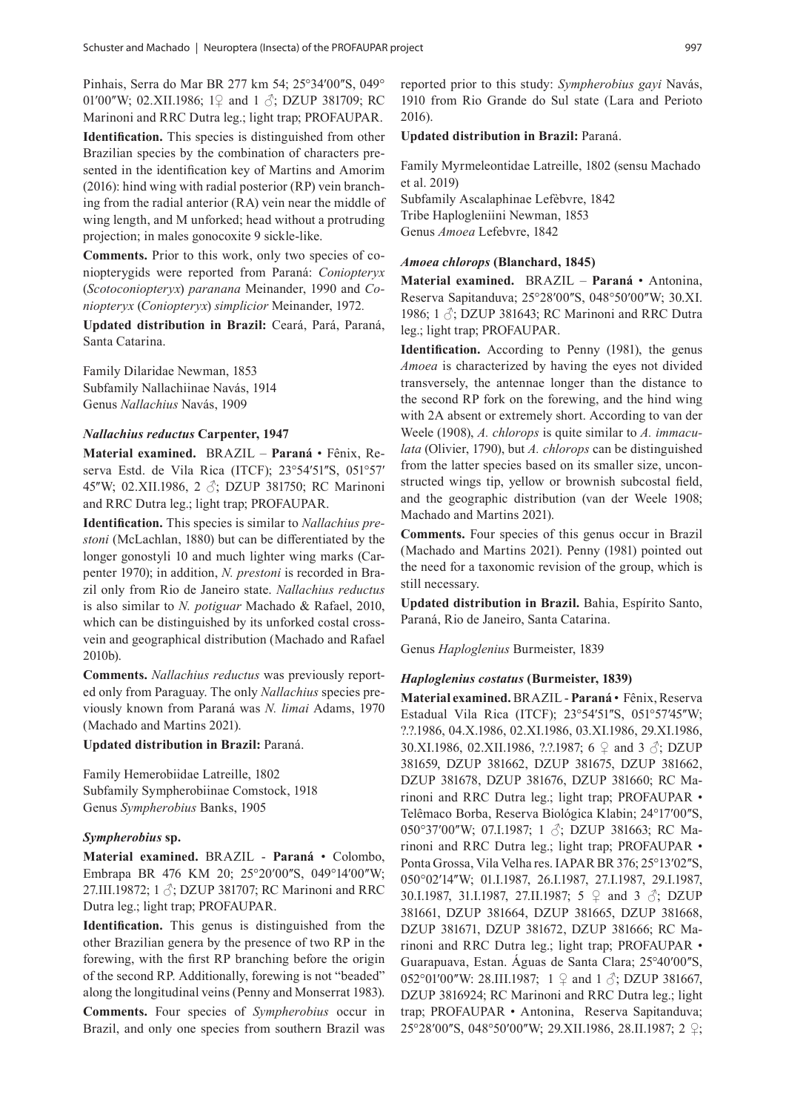Pinhais, Serra do Mar BR 277 km 54; 25°34′00″S, 049° 01'00"W; 02.XII.1986; 1♀ and 1 ♂; DZUP 381709; RC Marinoni and RRC Dutra leg.; light trap; PROFAUPAR.

**Identification.** This species is distinguished from other Brazilian species by the combination of characters presented in the identification key of Martins and Amorim (2016): hind wing with radial posterior (RP) vein branching from the radial anterior (RA) vein near the middle of wing length, and M unforked; head without a protruding projection; in males gonocoxite 9 sickle-like.

**Comments.** Prior to this work, only two species of coniopterygids were reported from Paraná: *Coniopteryx*  (*Scotoconiopteryx*) *paranana* Meinander, 1990 and *Coniopteryx* (*Coniopteryx*) *simplicior* Meinander, 1972*.*

**Updated distribution in Brazil:** Ceará, Pará, Paraná, Santa Catarina.

Family Dilaridae Newman, 1853 Subfamily Nallachiinae Navás, 1914 Genus *Nallachius* Navás, 1909

#### *Nallachius reductus* **Carpenter, 1947**

**Material examined.** BRAZIL – **Paraná** • Fênix, Reserva Estd. de Vila Rica (ITCF); 23°54'51"S, 051°57' 45"W; 02.XII.1986, 2 3; DZUP 381750; RC Marinoni and RRC Dutra leg.; light trap; PROFAUPAR.

**Identification.** This species is similar to *Nallachius prestoni* (McLachlan, 1880) but can be differentiated by the longer gonostyli 10 and much lighter wing marks (Carpenter 1970); in addition, *N. prestoni* is recorded in Brazil only from Rio de Janeiro state. *Nallachius reductus* is also similar to *N. potiguar* Machado & Rafael, 2010, which can be distinguished by its unforked costal crossvein and geographical distribution (Machado and Rafael 2010b).

**Comments.** *Nallachius reductus* was previously reported only from Paraguay. The only *Nallachius* species previously known from Paraná was *N. limai* Adams, 1970 (Machado and Martins 2021).

#### **Updated distribution in Brazil:** Paraná.

Family Hemerobiidae Latreille, 1802 Subfamily Sympherobiinae Comstock, 1918 Genus *Sympherobius* Banks, 1905

#### *Sympherobius* **sp.**

**Material examined.** BRAZIL - **Paraná** • Colombo, Embrapa BR 476 KM 20; 25°20'00"S, 049°14'00"W; 27.III.19872; 1 ♂; DZUP 381707; RC Marinoni and RRC Dutra leg.; light trap; PROFAUPAR.

**Identification.** This genus is distinguished from the other Brazilian genera by the presence of two RP in the forewing, with the first RP branching before the origin of the second RP. Additionally, forewing is not "beaded" along the longitudinal veins (Penny and Monserrat 1983). **Comments.** Four species of *Sympherobius* occur in Brazil, and only one species from southern Brazil was reported prior to this study: *Sympherobius gayi* Navás, 1910 from Rio Grande do Sul state (Lara and Perioto 2016).

#### **Updated distribution in Brazil:** Paraná.

Family Myrmeleontidae Latreille, 1802 (sensu Machado et al. 2019)

Subfamily Ascalaphinae Lefèbvre, 1842 Tribe Haplogleniini Newman, 1853 Genus *Amoea* Lefebvre, 1842

#### *Amoea chlorops* **(Blanchard, 1845)**

**Material examined.** BRAZIL – **Paraná** • Antonina, Reserva Sapitanduva; 25°28'00"S, 048°50'00"W; 30.XI. 1986; 1  $\Diamond$ ; DZUP 381643; RC Marinoni and RRC Dutra leg.; light trap; PROFAUPAR.

**Identification.** According to Penny (1981), the genus *Amoea* is characterized by having the eyes not divided transversely, the antennae longer than the distance to the second RP fork on the forewing, and the hind wing with 2A absent or extremely short. According to van der Weele (1908), *A. chlorops* is quite similar to *A. immaculata* (Olivier, 1790), but *A. chlorops* can be distinguished from the latter species based on its smaller size, unconstructed wings tip, yellow or brownish subcostal field, and the geographic distribution (van der Weele 1908; Machado and Martins 2021).

**Comments.** Four species of this genus occur in Brazil (Machado and Martins 2021). Penny (1981) pointed out the need for a taxonomic revision of the group, which is still necessary.

**Updated distribution in Brazil.** Bahia, Espírito Santo, Paraná, Rio de Janeiro, Santa Catarina.

Genus *Haploglenius* Burmeister, 1839

#### *Haploglenius costatus* **(Burmeister, 1839)**

**Material examined.** BRAZIL - **Paraná** • Fênix, Reserva Estadual Vila Rica (ITCF); 23°54'51"S, 051°57'45"W; ?.?.1986, 04.X.1986, 02.XI.1986, 03.XI.1986, 29.XI.1986, 30.XI.1986, 02.XII.1986, ?.?.1987; 6 ♀ and 3 ♂; DZUP 381659, DZUP 381662, DZUP 381675, DZUP 381662, DZUP 381678, DZUP 381676, DZUP 381660; RC Marinoni and RRC Dutra leg.; light trap; PROFAUPAR • Telêmaco Borba, Reserva Biológica Klabin; 24°17'00"S, 050°37'00"W; 07.I.1987; 1 3; DZUP 381663; RC Marinoni and RRC Dutra leg.; light trap; PROFAUPAR • Ponta Grossa, Vila Velha res. IAPAR BR 376; 25°13′02″S, 050°02'14"W; 01.I.1987, 26.I.1987, 27.I.1987, 29.I.1987, 30.I.1987, 31.I.1987, 27.II.1987; 5 ♀ and 3 ♂; DZUP 381661, DZUP 381664, DZUP 381665, DZUP 381668, DZUP 381671, DZUP 381672, DZUP 381666; RC Marinoni and RRC Dutra leg.; light trap; PROFAUPAR • Guarapuava, Estan. Águas de Santa Clara; 25°40'00"S, 052°01′00″W: 28.III.1987; 1 ♀ and 1 ♂; DZUP 381667, DZUP 3816924; RC Marinoni and RRC Dutra leg.; light trap; PROFAUPAR • Antonina, Reserva Sapitanduva; 25°28′00ʺS, 048°50′00ʺW; 29.XII.1986, 28.II.1987; 2 ♀;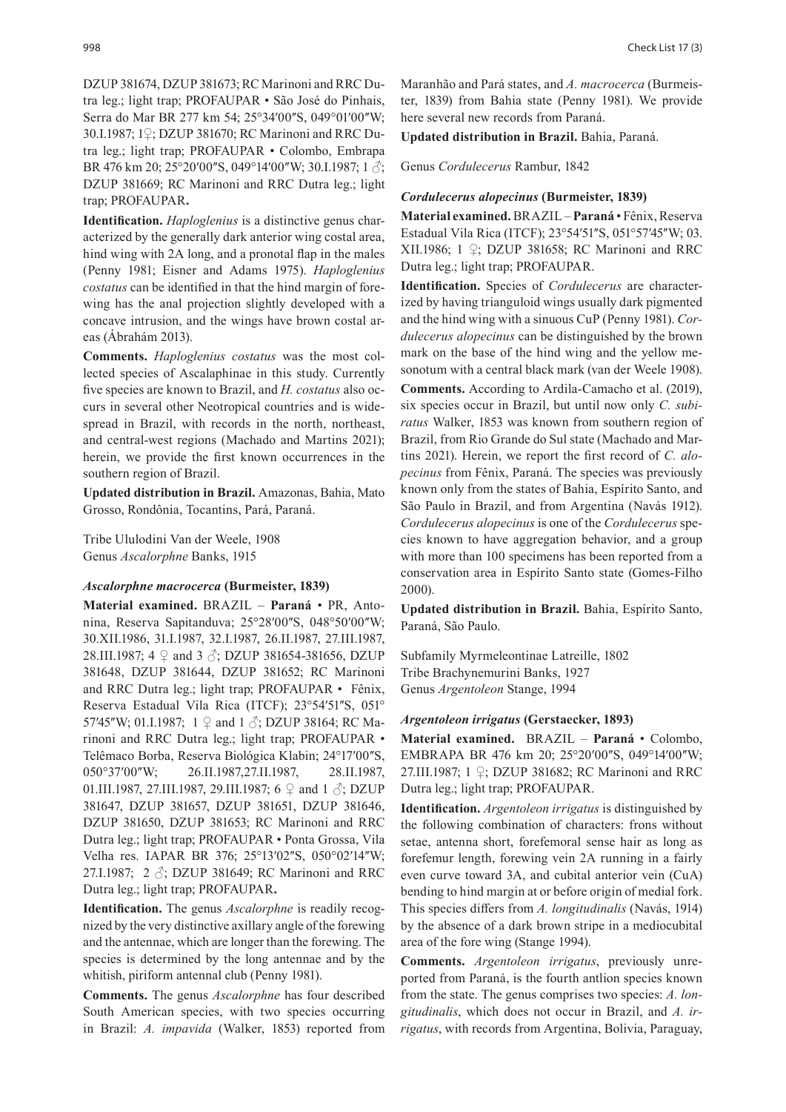DZUP 381674, DZUP 381673; RC Marinoni and RRC Dutra leg.; light trap; PROFAUPAR • São José do Pinhais, Serra do Mar BR 277 km 54; 25°34′00″S, 049°01′00″W; 30.I.1987; 1♀; DZUP 381670; RC Marinoni and RRC Dutra leg.; light trap; PROFAUPAR • Colombo, Embrapa BR 476 km 20; 25°20′00″S, 049°14′00″W; 30.I.1987; 1  $\Im$ ; DZUP 381669; RC Marinoni and RRC Dutra leg.; light trap; PROFAUPAR**.**

**Identification.** *Haploglenius* is a distinctive genus characterized by the generally dark anterior wing costal area, hind wing with 2A long, and a pronotal flap in the males (Penny 1981; Eisner and Adams 1975). *Haploglenius costatus* can be identified in that the hind margin of forewing has the anal projection slightly developed with a concave intrusion, and the wings have brown costal areas (Ábrahám 2013).

**Comments.** *Haploglenius costatus* was the most collected species of Ascalaphinae in this study. Currently five species are known to Brazil, and *H. costatus* also occurs in several other Neotropical countries and is widespread in Brazil, with records in the north, northeast, and central-west regions (Machado and Martins 2021); herein, we provide the first known occurrences in the southern region of Brazil.

**Updated distribution in Brazil.** Amazonas, Bahia, Mato Grosso, Rondônia, Tocantins, Pará, Paraná.

Tribe Ululodini Van der Weele, 1908 Genus *Ascalorphne* Banks, 1915

#### *Ascalorphne macrocerca* **(Burmeister, 1839)**

**Material examined.** BRAZIL – **Paraná** • PR, Antonina, Reserva Sapitanduva; 25°28'00"S, 048°50'00"W; 30.XII.1986, 31.I.1987, 32.I.1987, 26.II.1987, 27.III.1987, 28.III.1987; 4 ♀ and 3 ♂; DZUP 381654-381656, DZUP 381648, DZUP 381644, DZUP 381652; RC Marinoni and RRC Dutra leg.; light trap; PROFAUPAR • Fênix, Reserva Estadual Vila Rica (ITCF); 23°54'51"S, 051° 57'45"W; 01.I.1987;  $1 \nsubseteq$  and  $1 \nsubseteq$ ; DZUP 38164; RC Marinoni and RRC Dutra leg.; light trap; PROFAUPAR • Telêmaco Borba, Reserva Biológica Klabin; 24°17'00"S, 050°37'00"W; 26.II.1987,27.II.1987, 28.II.1987, 01.III.1987, 27.III.1987, 29.III.1987; 6  $\circ$  and 1  $\circ$ ; DZUP 381647, DZUP 381657, DZUP 381651, DZUP 381646, DZUP 381650, DZUP 381653; RC Marinoni and RRC Dutra leg.; light trap; PROFAUPAR • Ponta Grossa, Vila Velha res. IAPAR BR 376; 25°13'02"S, 050°02'14"W; 27.I.1987; 2 ♂; DZUP 381649; RC Marinoni and RRC Dutra leg.; light trap; PROFAUPAR**.**

**Identification.** The genus *Ascalorphne* is readily recognized by the very distinctive axillary angle of the forewing and the antennae, which are longer than the forewing. The species is determined by the long antennae and by the whitish, piriform antennal club (Penny 1981).

**Comments.** The genus *Ascalorphne* has four described South American species, with two species occurring in Brazil: *A. impavida* (Walker, 1853) reported from Maranhão and Pará states, and *A. macrocerca* (Burmeister, 1839) from Bahia state (Penny 1981). We provide here several new records from Paraná.

**Updated distribution in Brazil.** Bahia, Paraná.

Genus *Cordulecerus* Rambur, 1842

#### *Cordulecerus alopecinus* **(Burmeister, 1839)**

**Material examined.** BRAZIL – **Paraná** • Fênix, Reserva Estadual Vila Rica (ITCF); 23°54'51"S, 051°57'45"W; 03. XII.1986; 1 ♀; DZUP 381658; RC Marinoni and RRC Dutra leg.; light trap; PROFAUPAR.

**Identification.** Species of *Cordulecerus* are characterized by having trianguloid wings usually dark pigmented and the hind wing with a sinuous CuP (Penny 1981). *Cordulecerus alopecinus* can be distinguished by the brown mark on the base of the hind wing and the yellow mesonotum with a central black mark (van der Weele 1908). **Comments.** According to Ardila-Camacho et al. (2019), six species occur in Brazil, but until now only *C. subiratus* Walker, 1853 was known from southern region of Brazil, from Rio Grande do Sul state (Machado and Martins 2021). Herein, we report the first record of *C. alopecinus* from Fênix, Paraná. The species was previously known only from the states of Bahia, Espírito Santo, and São Paulo in Brazil, and from Argentina (Navás 1912). *Cordulecerus alopecinus* is one of the *Cordulecerus* species known to have aggregation behavior, and a group with more than 100 specimens has been reported from a conservation area in Espírito Santo state (Gomes-Filho 2000).

**Updated distribution in Brazil.** Bahia, Espírito Santo, Paraná, São Paulo.

Subfamily Myrmeleontinae Latreille, 1802 Tribe Brachynemurini Banks, 1927 Genus *Argentoleon* Stange, 1994

#### *Argentoleon irrigatus* **(Gerstaecker, 1893)**

**Material examined.** BRAZIL – **Paraná** • Colombo, EMBRAPA BR 476 km 20; 25°20′00″S, 049°14′00″W; 27.III.1987; 1 ♀; DZUP 381682; RC Marinoni and RRC Dutra leg.; light trap; PROFAUPAR.

**Identification.** *Argentoleon irrigatus* is distinguished by the following combination of characters: frons without setae, antenna short, forefemoral sense hair as long as forefemur length, forewing vein 2A running in a fairly even curve toward 3A, and cubital anterior vein (CuA) bending to hind margin at or before origin of medial fork. This species differs from *A. longitudinalis* (Navás, 1914) by the absence of a dark brown stripe in a mediocubital area of the fore wing (Stange 1994).

**Comments.** *Argentoleon irrigatus*, previously unreported from Paraná, is the fourth antlion species known from the state. The genus comprises two species: *A. longitudinalis*, which does not occur in Brazil, and *A. irrigatus*, with records from Argentina, Bolivia, Paraguay,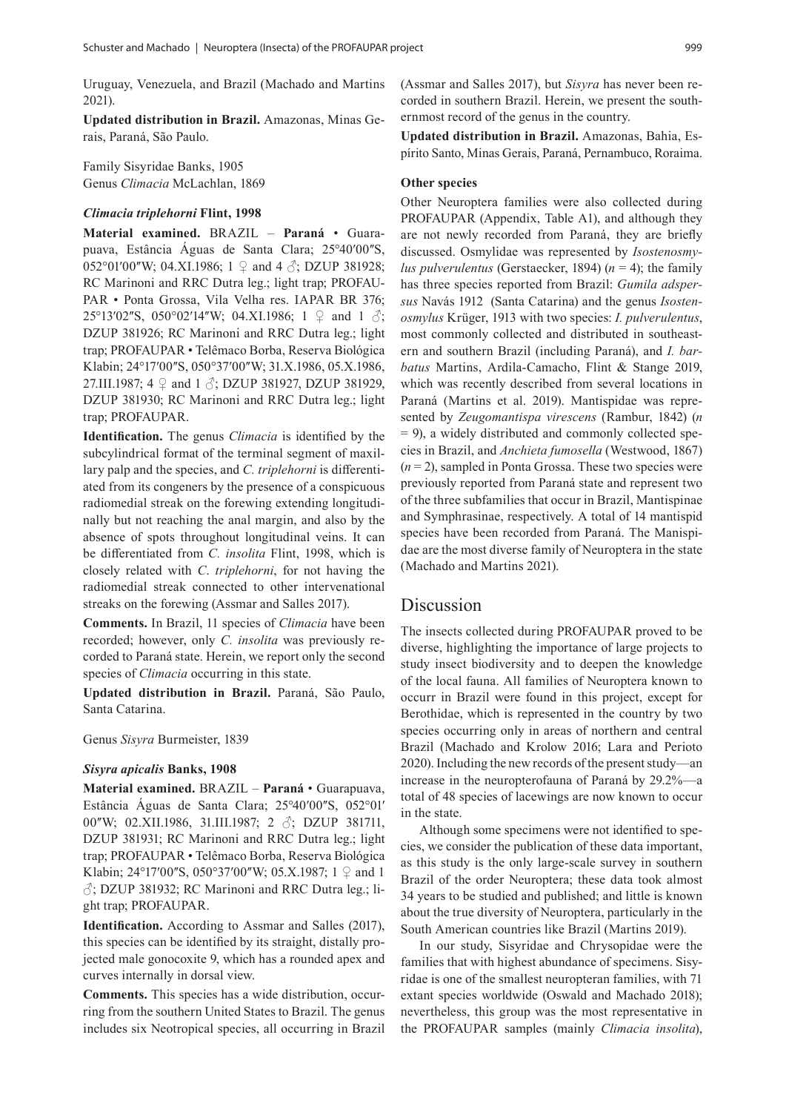Uruguay, Venezuela, and Brazil (Machado and Martins 2021).

**Updated distribution in Brazil.** Amazonas, Minas Gerais, Paraná, São Paulo.

Family Sisyridae Banks, 1905 Genus *Climacia* McLachlan, 1869

#### *Climacia triplehorni* **Flint, 1998**

**Material examined.** BRAZIL – **Paraná** • Guarapuava, Estância Águas de Santa Clara; 25°40'00"S, 052°01′00″W; 04.XI.1986; 1  $\varphi$  and 4  $\varphi$ ; DZUP 381928; RC Marinoni and RRC Dutra leg.; light trap; PROFAU-PAR • Ponta Grossa, Vila Velha res. IAPAR BR 376; 25°13′02″S, 050°02′14″W; 04.XI.1986; 1  $\varphi$  and 1  $\varphi$ ; DZUP 381926; RC Marinoni and RRC Dutra leg.; light trap; PROFAUPAR • Telêmaco Borba, Reserva Biológica Klabin; 24°17'00"S, 050°37'00"W; 31.X.1986, 05.X.1986, 27.III.1987;  $4 \nsubseteq$  and  $1 \nsubseteq$ ; DZUP 381927, DZUP 381929, DZUP 381930; RC Marinoni and RRC Dutra leg.; light trap; PROFAUPAR.

**Identification.** The genus *Climacia* is identified by the subcylindrical format of the terminal segment of maxillary palp and the species, and *C. triplehorni* is differentiated from its congeners by the presence of a conspicuous radiomedial streak on the forewing extending longitudinally but not reaching the anal margin, and also by the absence of spots throughout longitudinal veins. It can be differentiated from *C. insolita* Flint, 1998, which is closely related with *C*. *triplehorni*, for not having the radiomedial streak connected to other intervenational streaks on the forewing (Assmar and Salles 2017).

**Comments.** In Brazil, 11 species of *Climacia* have been recorded; however, only *C. insolita* was previously recorded to Paraná state. Herein, we report only the second species of *Climacia* occurring in this state.

**Updated distribution in Brazil.** Paraná, São Paulo, Santa Catarina.

Genus *Sisyra* Burmeister, 1839

#### *Sisyra apicalis* **Banks, 1908**

**Material examined.** BRAZIL – **Paraná** • Guarapuava, Estância Águas de Santa Clara; 25°40′00″S, 052°01′ 00"W; 02.XII.1986, 31.III.1987; 2  $\Diamond$ ; DZUP 381711, DZUP 381931; RC Marinoni and RRC Dutra leg.; light trap; PROFAUPAR • Telêmaco Borba, Reserva Biológica Klabin; 24°17′00″S, 050°37′00″W; 05.X.1987; 1  $\varphi$  and 1  $\beta$ ; DZUP 381932; RC Marinoni and RRC Dutra leg.; light trap; PROFAUPAR.

**Identification.** According to Assmar and Salles (2017), this species can be identified by its straight, distally projected male gonocoxite 9, which has a rounded apex and curves internally in dorsal view.

**Comments.** This species has a wide distribution, occurring from the southern United States to Brazil. The genus includes six Neotropical species, all occurring in Brazil (Assmar and Salles 2017), but *Sisyra* has never been recorded in southern Brazil. Herein, we present the southernmost record of the genus in the country.

**Updated distribution in Brazil.** Amazonas, Bahia, Espírito Santo, Minas Gerais, Paraná, Pernambuco, Roraima.

#### **Other species**

Other Neuroptera families were also collected during PROFAUPAR (Appendix, Table A1), and although they are not newly recorded from Paraná, they are briefly discussed. Osmylidae was represented by *Isostenosmylus pulverulentus* (Gerstaecker, 1894)  $(n = 4)$ ; the family has three species reported from Brazil: *Gumila adspersus* Navás 1912 (Santa Catarina) and the genus *Isostenosmylus* Krüger, 1913 with two species: *I. pulverulentus*, most commonly collected and distributed in southeastern and southern Brazil (including Paraná), and *I. barbatus* Martins, Ardila-Camacho, Flint & Stange 2019, which was recently described from several locations in Paraná (Martins et al. 2019). Mantispidae was represented by *Zeugomantispa virescens* (Rambur, 1842) (*n*  $= 9$ ), a widely distributed and commonly collected species in Brazil, and *Anchieta fumosella* (Westwood, 1867)  $(n=2)$ , sampled in Ponta Grossa. These two species were previously reported from Paraná state and represent two of the three subfamilies that occur in Brazil, Mantispinae and Symphrasinae, respectively. A total of 14 mantispid species have been recorded from Paraná. The Manispidae are the most diverse family of Neuroptera in the state (Machado and Martins 2021).

## Discussion

The insects collected during PROFAUPAR proved to be diverse, highlighting the importance of large projects to study insect biodiversity and to deepen the knowledge of the local fauna. All families of Neuroptera known to occurr in Brazil were found in this project, except for Berothidae, which is represented in the country by two species occurring only in areas of northern and central Brazil (Machado and Krolow 2016; Lara and Perioto 2020). Including the new records of the present study—an increase in the neuropterofauna of Paraná by 29.2%—a total of 48 species of lacewings are now known to occur in the state.

Although some specimens were not identified to species, we consider the publication of these data important, as this study is the only large-scale survey in southern Brazil of the order Neuroptera; these data took almost 34 years to be studied and published; and little is known about the true diversity of Neuroptera, particularly in the South American countries like Brazil (Martins 2019).

In our study, Sisyridae and Chrysopidae were the families that with highest abundance of specimens. Sisyridae is one of the smallest neuropteran families, with 71 extant species worldwide (Oswald and Machado 2018); nevertheless, this group was the most representative in the PROFAUPAR samples (mainly *Climacia insolita*),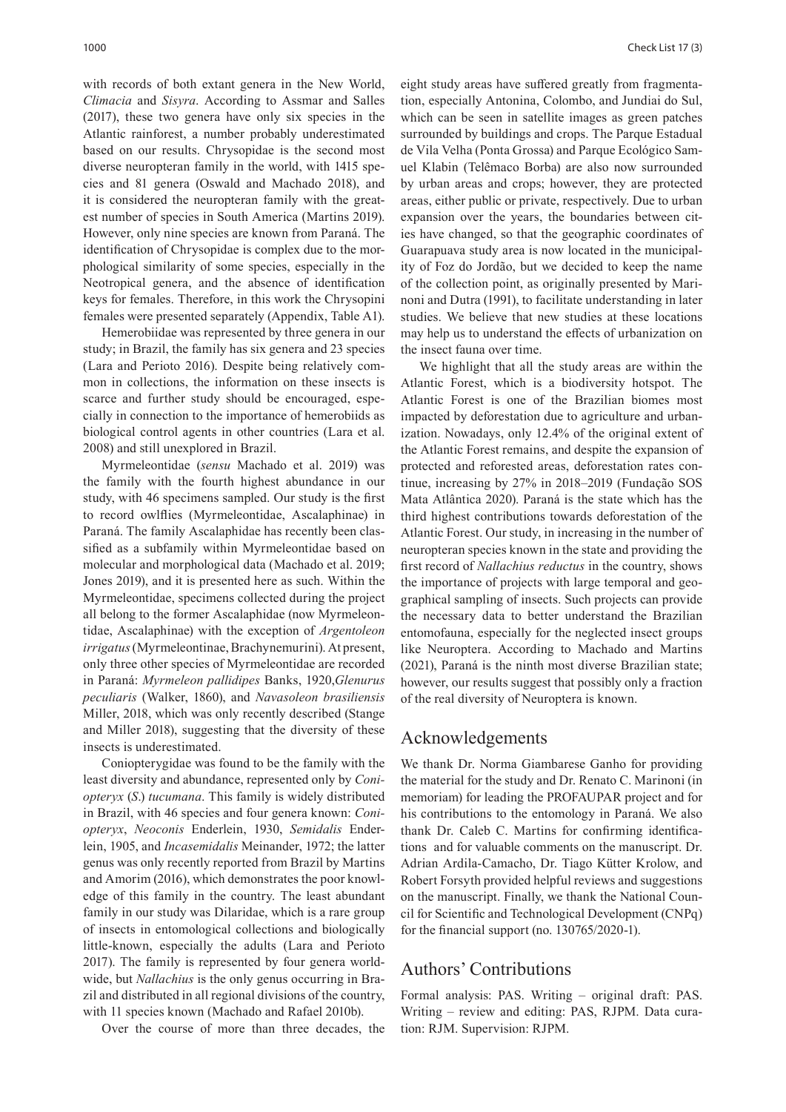with records of both extant genera in the New World, *Climacia* and *Sisyra*. According to Assmar and Salles (2017), these two genera have only six species in the Atlantic rainforest, a number probably underestimated based on our results. Chrysopidae is the second most diverse neuropteran family in the world, with 1415 species and 81 genera (Oswald and Machado 2018), and it is considered the neuropteran family with the greatest number of species in South America (Martins 2019). However, only nine species are known from Paraná. The identification of Chrysopidae is complex due to the morphological similarity of some species, especially in the Neotropical genera, and the absence of identification keys for females. Therefore, in this work the Chrysopini females were presented separately (Appendix, Table A1).

Hemerobiidae was represented by three genera in our study; in Brazil, the family has six genera and 23 species (Lara and Perioto 2016). Despite being relatively common in collections, the information on these insects is scarce and further study should be encouraged, especially in connection to the importance of hemerobiids as biological control agents in other countries (Lara et al. 2008) and still unexplored in Brazil.

Myrmeleontidae (*sensu* Machado et al. 2019) was the family with the fourth highest abundance in our study, with 46 specimens sampled. Our study is the first to record owlflies (Myrmeleontidae, Ascalaphinae) in Paraná. The family Ascalaphidae has recently been classified as a subfamily within Myrmeleontidae based on molecular and morphological data (Machado et al. 2019; Jones 2019), and it is presented here as such. Within the Myrmeleontidae, specimens collected during the project all belong to the former Ascalaphidae (now Myrmeleontidae, Ascalaphinae) with the exception of *Argentoleon irrigatus* (Myrmeleontinae, Brachynemurini). At present, only three other species of Myrmeleontidae are recorded in Paraná: *Myrmeleon pallidipes* Banks, 1920,*Glenurus peculiaris* (Walker, 1860), and *Navasoleon brasiliensis* Miller, 2018, which was only recently described (Stange and Miller 2018), suggesting that the diversity of these insects is underestimated.

Coniopterygidae was found to be the family with the least diversity and abundance, represented only by *Coniopteryx* (*S*.) *tucumana*. This family is widely distributed in Brazil, with 46 species and four genera known: *Coniopteryx*, *Neoconis* Enderlein, 1930, *Semidalis* Enderlein, 1905, and *Incasemidalis* Meinander, 1972; the latter genus was only recently reported from Brazil by Martins and Amorim (2016), which demonstrates the poor knowledge of this family in the country. The least abundant family in our study was Dilaridae, which is a rare group of insects in entomological collections and biologically little-known, especially the adults (Lara and Perioto 2017). The family is represented by four genera worldwide, but *Nallachius* is the only genus occurring in Brazil and distributed in all regional divisions of the country, with 11 species known (Machado and Rafael 2010b).

Over the course of more than three decades, the

eight study areas have suffered greatly from fragmentation, especially Antonina, Colombo, and Jundiai do Sul, which can be seen in satellite images as green patches surrounded by buildings and crops. The Parque Estadual de Vila Velha (Ponta Grossa) and Parque Ecológico Samuel Klabin (Telêmaco Borba) are also now surrounded by urban areas and crops; however, they are protected areas, either public or private, respectively. Due to urban expansion over the years, the boundaries between cities have changed, so that the geographic coordinates of Guarapuava study area is now located in the municipality of Foz do Jordão, but we decided to keep the name of the collection point, as originally presented by Marinoni and Dutra (1991), to facilitate understanding in later studies. We believe that new studies at these locations may help us to understand the effects of urbanization on the insect fauna over time.

We highlight that all the study areas are within the Atlantic Forest, which is a biodiversity hotspot. The Atlantic Forest is one of the Brazilian biomes most impacted by deforestation due to agriculture and urbanization. Nowadays, only 12.4% of the original extent of the Atlantic Forest remains, and despite the expansion of protected and reforested areas, deforestation rates continue, increasing by 27% in 2018–2019 (Fundação SOS Mata Atlântica 2020). Paraná is the state which has the third highest contributions towards deforestation of the Atlantic Forest. Our study, in increasing in the number of neuropteran species known in the state and providing the first record of *Nallachius reductus* in the country, shows the importance of projects with large temporal and geographical sampling of insects. Such projects can provide the necessary data to better understand the Brazilian entomofauna, especially for the neglected insect groups like Neuroptera. According to Machado and Martins (2021), Paraná is the ninth most diverse Brazilian state; however, our results suggest that possibly only a fraction of the real diversity of Neuroptera is known.

## Acknowledgements

We thank Dr. Norma Giambarese Ganho for providing the material for the study and Dr. Renato C. Marinoni (in memoriam) for leading the PROFAUPAR project and for his contributions to the entomology in Paraná. We also thank Dr. Caleb C. Martins for confirming identifications and for valuable comments on the manuscript. Dr. Adrian Ardila-Camacho, Dr. Tiago Kütter Krolow, and Robert Forsyth provided helpful reviews and suggestions on the manuscript. Finally, we thank the National Council for Scientific and Technological Development (CNPq) for the financial support (no. 130765/2020-1).

## Authors' Contributions

Formal analysis: PAS. Writing – original draft: PAS. Writing – review and editing: PAS, RJPM. Data curation: RJM. Supervision: RJPM.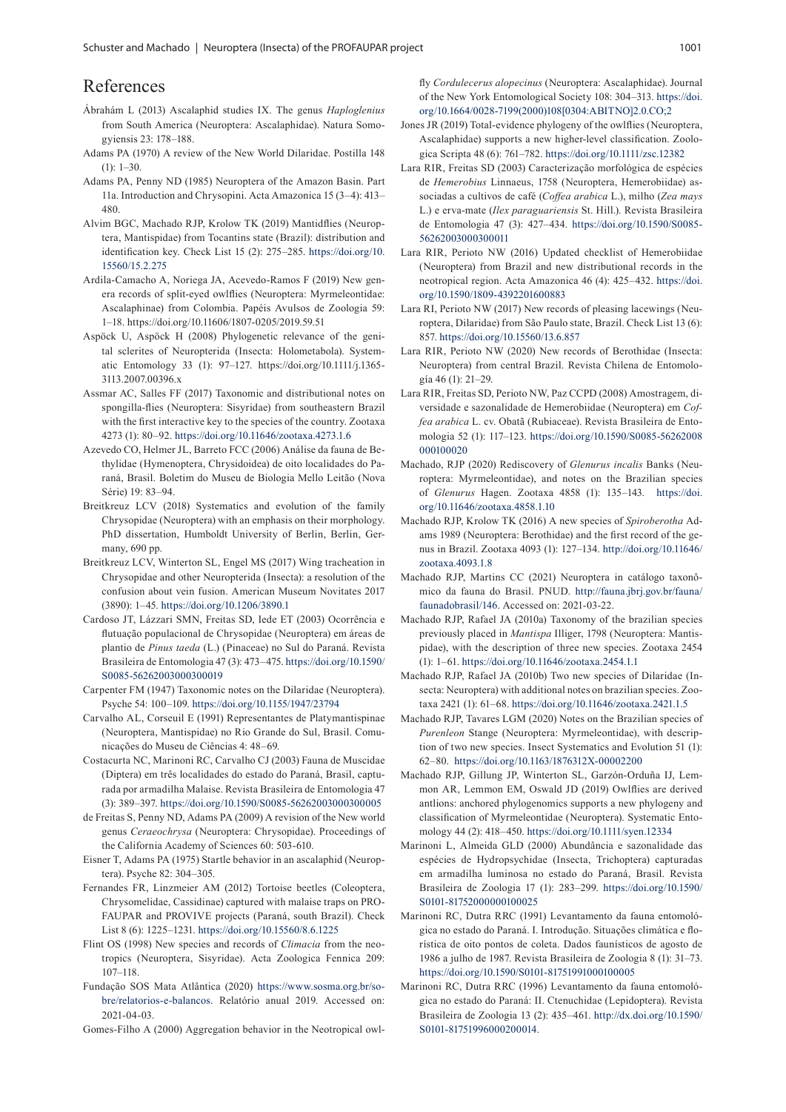## References

- Ábrahám L (2013) Ascalaphid studies IX. The genus *Haploglenius* from South America (Neuroptera: Ascalaphidae). Natura Somogyiensis 23: 178–188.
- Adams PA (1970) A review of the New World Dilaridae. Postilla 148 (1): 1–30.
- Adams PA, Penny ND (1985) Neuroptera of the Amazon Basin. Part 11a. Introduction and Chrysopini. Acta Amazonica 15 (3–4): 413– 480.
- Alvim BGC, Machado RJP, Krolow TK (2019) Mantidflies (Neuroptera, Mantispidae) from Tocantins state (Brazil): distribution and identification key. Check List 15 (2): 275–285. [https://doi.org/10.](https://doi.org/10.15560/15.2.275) [15560/15.2.275](https://doi.org/10.15560/15.2.275)
- Ardila-Camacho A, Noriega JA, Acevedo-Ramos F (2019) New genera records of split-eyed owlflies (Neuroptera: Myrmeleontidae: Ascalaphinae) from Colombia. Papéis Avulsos de Zoologia 59: 1–18.<https://doi.org/10.11606/1807-0205/2019.59.51>
- Aspöck U, Aspöck H (2008) Phylogenetic relevance of the genital sclerites of Neuropterida (Insecta: Holometabola). Systematic Entomology 33 (1): 97–127. https://doi.org/10.1111/j.1365- 3113.2007.00396.x
- Assmar AC, Salles FF (2017) Taxonomic and distributional notes on spongilla-flies (Neuroptera: Sisyridae) from southeastern Brazil with the first interactive key to the species of the country. Zootaxa 4273 (1): 80–92. <https://doi.org/10.11646/zootaxa.4273.1.6>
- Azevedo CO, Helmer JL, Barreto FCC (2006) Análise da fauna de Bethylidae (Hymenoptera, Chrysidoidea) de oito localidades do Paraná, Brasil. Boletim do Museu de Biologia Mello Leitão (Nova Série) 19: 83–94.
- Breitkreuz LCV (2018) Systematics and evolution of the family Chrysopidae (Neuroptera) with an emphasis on their morphology. PhD dissertation, Humboldt University of Berlin, Berlin, Germany, 690 pp.
- Breitkreuz LCV, Winterton SL, Engel MS (2017) Wing tracheation in Chrysopidae and other Neuropterida (Insecta): a resolution of the confusion about vein fusion. American Museum Novitates 2017 (3890): 1–45.<https://doi.org/10.1206/3890.1>
- Cardoso JT, Lázzari SMN, Freitas SD, Iede ET (2003) Ocorrência e flutuação populacional de Chrysopidae (Neuroptera) em áreas de plantio de *Pinus taeda* (L.) (Pinaceae) no Sul do Paraná. Revista Brasileira de Entomologia 47 (3): 473–475. [https://doi.org/10.1590/](https://doi.org/10.1590/S0085-56262003000300019) [S0085-56262003000300019](https://doi.org/10.1590/S0085-56262003000300019)
- Carpenter FM (1947) Taxonomic notes on the Dilaridae (Neuroptera). Psyche 54: 100–109. <https://doi.org/10.1155/1947/23794>
- Carvalho AL, Corseuil E (1991) Representantes de Platymantispinae (Neuroptera, Mantispidae) no Rio Grande do Sul, Brasil. Comunicações do Museu de Ciências 4: 48–69.
- Costacurta NC, Marinoni RC, Carvalho CJ (2003) Fauna de Muscidae (Diptera) em três localidades do estado do Paraná, Brasil, capturada por armadilha Malaise. Revista Brasileira de Entomologia 47 (3): 389–397. <https://doi.org/10.1590/S0085-56262003000300005>
- de Freitas S, Penny ND, Adams PA (2009) A revision of the New world genus *Ceraeochrysa* (Neuroptera: Chrysopidae). Proceedings of the California Academy of Sciences 60: 503-610.
- Eisner T, Adams PA (1975) Startle behavior in an ascalaphid (Neuroptera). Psyche 82: 304–305.
- Fernandes FR, Linzmeier AM (2012) Tortoise beetles (Coleoptera, Chrysomelidae, Cassidinae) captured with malaise traps on PRO-FAUPAR and PROVIVE projects (Paraná, south Brazil). Check List 8 (6): 1225–1231.<https://doi.org/10.15560/8.6.1225>
- Flint OS (1998) New species and records of *Climacia* from the neotropics (Neuroptera, Sisyridae). Acta Zoologica Fennica 209: 107–118.
- Fundação SOS Mata Atlântica (2020) [https://www.sosma.org.br/so](https://www.sosma.org.br/sobre/relatorios-e-balancos)[bre/relatorios-e-balancos](https://www.sosma.org.br/sobre/relatorios-e-balancos). Relatório anual 2019. Accessed on: 2021-04-03.

Gomes-Filho A (2000) Aggregation behavior in the Neotropical owl-

fly *Cordulecerus alopecinus* (Neuroptera: Ascalaphidae). Journal of the New York Entomological Society 108: 304–313. [https://doi.](https://doi.org/10.1664/0028-7199(2000)108%5b0304:ABITNO%5d2.0.CO;2) [org/10.1664/0028-7199\(2000\)108\[0304:ABITNO\]2.0.CO;2](https://doi.org/10.1664/0028-7199(2000)108%5b0304:ABITNO%5d2.0.CO;2)

- Jones JR (2019) Total-evidence phylogeny of the owlflies (Neuroptera, Ascalaphidae) supports a new higher‐level classification. Zoologica Scripta 48 (6): 761–782.<https://doi.org/10.1111/zsc.12382>
- Lara RIR, Freitas SD (2003) Caracterização morfológica de espécies de *Hemerobius* Linnaeus, 1758 (Neuroptera, Hemerobiidae) associadas a cultivos de café (*Coffea arabica* L.), milho (*Zea mays* L.) e erva-mate (*Ilex paraguariensis* St. Hill.). Revista Brasileira de Entomologia 47 (3): 427–434. [https://doi.org/10.1590/S0085-](https://doi.org/10.1590/S0085-56262003000300011) [56262003000300011](https://doi.org/10.1590/S0085-56262003000300011)
- Lara RIR, Perioto NW (2016) Updated checklist of Hemerobiidae (Neuroptera) from Brazil and new distributional records in the neotropical region. Acta Amazonica 46 (4): 425–432. [https://doi.](https://doi.org/10.1590/1809-4392201600883) [org/10.1590/1809-4392201600883](https://doi.org/10.1590/1809-4392201600883)
- Lara RI, Perioto NW (2017) New records of pleasing lacewings (Neuroptera, Dilaridae) from São Paulo state, Brazil. Check List 13 (6): 857.<https://doi.org/10.15560/13.6.857>
- Lara RIR, Perioto NW (2020) New records of Berothidae (Insecta: Neuroptera) from central Brazil. Revista Chilena de Entomología 46 (1): 21–29.
- Lara RIR, Freitas SD, Perioto NW, Paz CCPD (2008) Amostragem, diversidade e sazonalidade de Hemerobiidae (Neuroptera) em *Coffea arabica* L. cv. Obatã (Rubiaceae). Revista Brasileira de Entomologia 52 (1): 117–123. [https://doi.org/10.1590/S0085-56262008](https://doi.org/10.1590/S0085-56262008000100020) [000100020](https://doi.org/10.1590/S0085-56262008000100020)
- Machado, RJP (2020) Rediscovery of *Glenurus incalis* Banks (Neuroptera: Myrmeleontidae), and notes on the Brazilian species of *Glenurus* Hagen. Zootaxa 4858 (1): 135–143. [https://doi.](https://doi.org/10.11646/zootaxa.4858.1.10) [org/10.11646/zootaxa.4858.1.10](https://doi.org/10.11646/zootaxa.4858.1.10)
- Machado RJP, Krolow TK (2016) A new species of *Spiroberotha* Adams 1989 (Neuroptera: Berothidae) and the first record of the genus in Brazil. Zootaxa 4093 (1): 127–134. [http://doi.org/10.11646/](http://doi.org/10.11646/zootaxa.4093.1.8) [zootaxa.4093.1.8](http://doi.org/10.11646/zootaxa.4093.1.8)
- Machado RJP, Martins CC (2021) Neuroptera in catálogo taxonômico da fauna do Brasil. PNUD. [http://fauna.jbrj.gov.br/fauna/](http://fauna.jbrj.gov.br/fauna/faunadobrasil/146) [faunadobrasil/146.](http://fauna.jbrj.gov.br/fauna/faunadobrasil/146) Accessed on: 2021-03-22.
- Machado RJP, Rafael JA (2010a) Taxonomy of the brazilian species previously placed in *Mantispa* Illiger, 1798 (Neuroptera: Mantispidae), with the description of three new species. Zootaxa 2454 (1): 1–61.<https://doi.org/10.11646/zootaxa.2454.1.1>
- Machado RJP, Rafael JA (2010b) Two new species of Dilaridae (Insecta: Neuroptera) with additional notes on brazilian species. Zootaxa 2421 (1): 61–68. <https://doi.org/10.11646/zootaxa.2421.1.5>
- Machado RJP, Tavares LGM (2020) Notes on the Brazilian species of *Purenleon* Stange (Neuroptera: Myrmeleontidae), with description of two new species. Insect Systematics and Evolution 51 (1): 62–80. <https://doi.org/10.1163/1876312X-00002200>
- Machado RJP, Gillung JP, Winterton SL, Garzón‐Orduña IJ, Lemmon AR, Lemmon EM, Oswald JD (2019) Owlflies are derived antlions: anchored phylogenomics supports a new phylogeny and classification of Myrmeleontidae (Neuroptera). Systematic Entomology 44 (2): 418–450.<https://doi.org/10.1111/syen.12334>
- Marinoni L, Almeida GLD (2000) Abundância e sazonalidade das espécies de Hydropsychidae (Insecta, Trichoptera) capturadas em armadilha luminosa no estado do Paraná, Brasil. Revista Brasileira de Zoologia 17 (1): 283–299. [https://doi.org/10.1590/](https://doi.org/10.1590/S0101-81752000000100025) [S0101-81752000000100025](https://doi.org/10.1590/S0101-81752000000100025)
- Marinoni RC, Dutra RRC (1991) Levantamento da fauna entomológica no estado do Paraná. I. Introdução. Situações climática e florística de oito pontos de coleta. Dados faunísticos de agosto de 1986 a julho de 1987. Revista Brasileira de Zoologia 8 (1): 31–73. <https://doi.org/10.1590/S0101-81751991000100005>
- Marinoni RC, Dutra RRC (1996) Levantamento da fauna entomológica no estado do Paraná: II. Ctenuchidae (Lepidoptera). Revista Brasileira de Zoologia 13 (2): 435–461. [http://dx.doi.org/10.1590/](http://dx.doi.org/10.1590/S0101-81751996000200014) [S0101-81751996000200014.](http://dx.doi.org/10.1590/S0101-81751996000200014)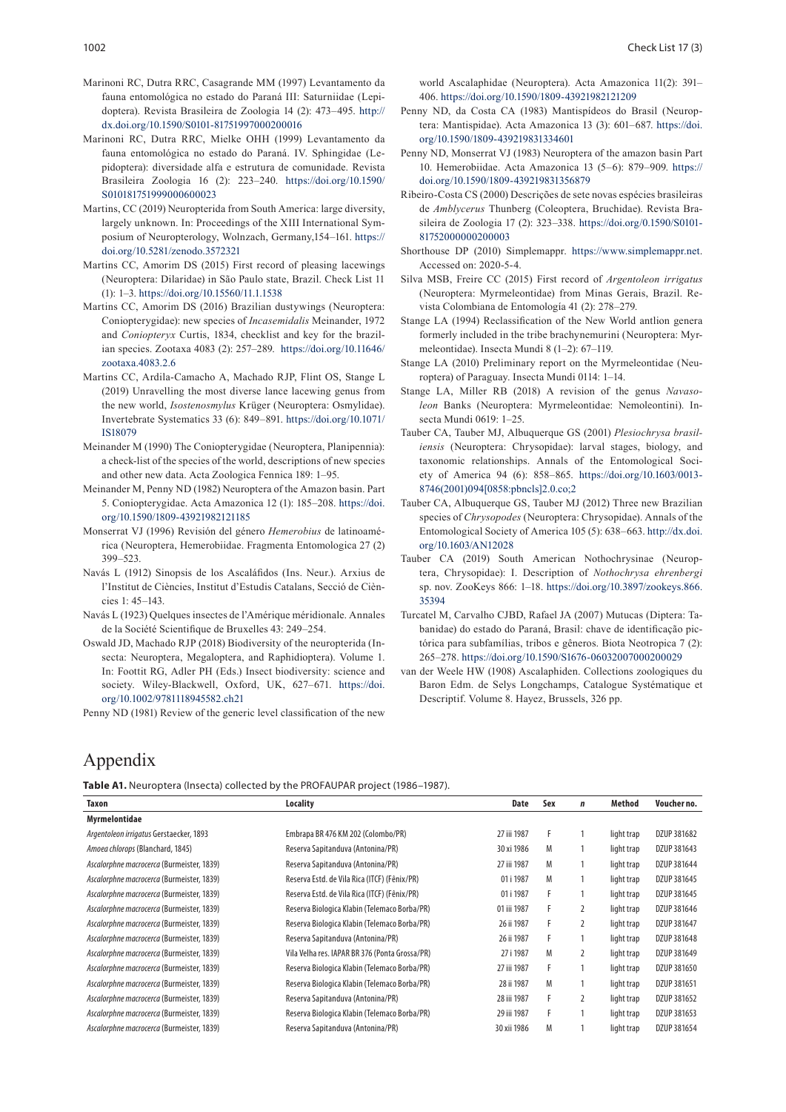- Marinoni RC, Dutra RRC, Casagrande MM (1997) Levantamento da fauna entomológica no estado do Paraná III: Saturniidae (Lepidoptera). Revista Brasileira de Zoologia 14 (2): 473–495. [http://](http://dx.doi.org/10.1590/S0101-81751997000200016) [dx.doi.org/10.1590/S0101-81751997000200016](http://dx.doi.org/10.1590/S0101-81751997000200016)
- Marinoni RC, Dutra RRC, Mielke OHH (1999) Levantamento da fauna entomológica no estado do Paraná. IV. Sphingidae (Lepidoptera): diversidade alfa e estrutura de comunidade. Revista Brasileira Zoologia 16 (2): 223–240. [https://doi.org/10.1590/](https://doi.org/10.1590/S010181751999000600023) [S010181751999000600023](https://doi.org/10.1590/S010181751999000600023)
- Martins, CC (2019) Neuropterida from South America: large diversity, largely unknown. In: Proceedings of the XIII International Symposium of Neuropterology, Wolnzach, Germany,154–161. [https://](https://doi.org/10.5281/zenodo.3572321) [doi.org/10.5281/zenodo.3572321](https://doi.org/10.5281/zenodo.3572321)
- Martins CC, Amorim DS (2015) First record of pleasing lacewings (Neuroptera: Dilaridae) in São Paulo state, Brazil. Check List 11 (1): 1–3.<https://doi.org/10.15560/11.1.1538>
- Martins CC, Amorim DS (2016) Brazilian dustywings (Neuroptera: Coniopterygidae): new species of *Incasemidalis* Meinander, 1972 and *Coniopteryx* Curtis, 1834, checklist and key for the brazilian species. Zootaxa 4083 (2): 257–289. [https://doi.org/10.11646/](https://doi.org/10.11646/zootaxa.4083.2.6) [zootaxa.4083.2.6](https://doi.org/10.11646/zootaxa.4083.2.6)
- Martins CC, Ardila-Camacho A, Machado RJP, Flint OS, Stange L (2019) Unravelling the most diverse lance lacewing genus from the new world, *Isostenosmylus* Krüger (Neuroptera: Osmylidae). Invertebrate Systematics 33 (6): 849–891. [https://doi.org/10.1071/](https://doi.org/10.1071/IS18079) [IS18079](https://doi.org/10.1071/IS18079)
- Meinander M (1990) The Coniopterygidae (Neuroptera, Planipennia): a check-list of the species of the world, descriptions of new species and other new data. Acta Zoologica Fennica 189: 1–95.
- Meinander M, Penny ND (1982) Neuroptera of the Amazon basin. Part 5. Coniopterygidae. Acta Amazonica 12 (1): 185–208. [https://doi.](https://doi.org/10.1590/1809-43921982121185) [org/10.1590/1809-43921982121185](https://doi.org/10.1590/1809-43921982121185)
- Monserrat VJ (1996) Revisión del género *Hemerobius* de latinoamérica (Neuroptera, Hemerobiidae. Fragmenta Entomologica 27 (2) 399–523.
- Navás L (1912) Sinopsis de los Ascaláfidos (Ins. Neur.). Arxius de l'Institut de Ciències, Institut d'Estudis Catalans, Secció de Ciències 1: 45–143.
- Navás L (1923) Quelques insectes de l'Amérique méridionale. Annales de la Société Scientifique de Bruxelles 43: 249–254.
- Oswald JD, Machado RJP (2018) Biodiversity of the neuropterida (Insecta: Neuroptera, Megaloptera, and Raphidioptera). Volume 1. In: Foottit RG, Adler PH (Eds.) Insect biodiversity: science and society. Wiley-Blackwell, Oxford, UK, 627–671. [https://doi.](https://doi.org/10.1002/9781118945582.ch21) [org/10.1002/9781118945582.ch21](https://doi.org/10.1002/9781118945582.ch21)

Penny ND (1981) Review of the generic level classification of the new

world Ascalaphidae (Neuroptera). Acta Amazonica 11(2): 391– 406.<https://doi.org/10.1590/1809-43921982121209>

- Penny ND, da Costa CA (1983) Mantispídeos do Brasil (Neuroptera: Mantispidae). Acta Amazonica 13 (3): 601–687. [https://doi.](https://doi.org/10.1590/1809-439219831334601) [org/10.1590/1809-439219831334601](https://doi.org/10.1590/1809-439219831334601)
- Penny ND, Monserrat VJ (1983) Neuroptera of the amazon basin Part 10. Hemerobiidae. Acta Amazonica 13 (5–6): 879–909. [https://](https://doi.org/10.1590/1809-439219831356879) [doi.org/10.1590/1809-439219831356879](https://doi.org/10.1590/1809-439219831356879)
- Ribeiro-Costa CS (2000) Descrições de sete novas espécies brasileiras de *Amblycerus* Thunberg (Coleoptera, Bruchidae). Revista Brasileira de Zoologia 17 (2): 323–338. [https://doi.org/0.1590/S0101-](https://doi.org/0.1590/S0101-81752000000200003) [81752000000200003](https://doi.org/0.1590/S0101-81752000000200003)
- Shorthouse DP (2010) Simplemappr. <https://www.simplemappr.net>. Accessed on: 2020-5-4.
- Silva MSB, Freire CC (2015) First record of *Argentoleon irrigatus* (Neuroptera: Myrmeleontidae) from Minas Gerais, Brazil. Revista Colombiana de Entomología 41 (2): 278–279.
- Stange LA (1994) Reclassification of the New World antlion genera formerly included in the tribe brachynemurini (Neuroptera: Myrmeleontidae). Insecta Mundi 8 (1–2): 67–119.
- Stange LA (2010) Preliminary report on the Myrmeleontidae (Neuroptera) of Paraguay. Insecta Mundi 0114: 1–14.
- Stange LA, Miller RB (2018) A revision of the genus *Navasoleon* Banks (Neuroptera: Myrmeleontidae: Nemoleontini). Insecta Mundi 0619: 1–25.
- Tauber CA, Tauber MJ, Albuquerque GS (2001) *Plesiochrysa brasiliensis* (Neuroptera: Chrysopidae): larval stages, biology, and taxonomic relationships. Annals of the Entomological Society of America 94 (6): 858–865. [https://doi.org/10.1603/0013-](https://doi.org/10.1603/0013-8746(2001)094[0858:pbncls]2.0.co;2 ) [8746\(2001\)094\[0858:pbncls\]2.0.co;2](https://doi.org/10.1603/0013-8746(2001)094[0858:pbncls]2.0.co;2 )
- Tauber CA, Albuquerque GS, Tauber MJ (2012) Three new Brazilian species of *Chrysopodes* (Neuroptera: Chrysopidae). Annals of the Entomological Society of America 105 (5): 638–663. [http://dx.doi.](http://dx.doi.org/10.1603/AN12028) [org/10.1603/AN12028](http://dx.doi.org/10.1603/AN12028)
- Tauber CA (2019) South American Nothochrysinae (Neuroptera, Chrysopidae): I. Description of *Nothochrysa ehrenbergi* sp. nov. ZooKeys 866: 1–18. [https://doi.org/10.3897/zookeys.866.](https://doi.org/10.3897/zookeys.866.35394) [35394](https://doi.org/10.3897/zookeys.866.35394)
- Turcatel M, Carvalho CJBD, Rafael JA (2007) Mutucas (Diptera: Tabanidae) do estado do Paraná, Brasil: chave de identificação pictórica para subfamílias, tribos e gêneros. Biota Neotropica 7 (2): 265–278. <https://doi.org/10.1590/S1676-06032007000200029>
- van der Weele HW (1908) Ascalaphiden. Collections zoologiques du Baron Edm. de Selys Longchamps, Catalogue Systématique et Descriptif. Volume 8. Hayez, Brussels, 326 pp.

## Appendix

**Table A1.** Neuroptera (Insecta) collected by the PROFAUPAR project (1986–1987).

| Taxon                                     | Locality                                       | Date        | Sex | $\mathbf n$ | Method     | Voucher no. |
|-------------------------------------------|------------------------------------------------|-------------|-----|-------------|------------|-------------|
| Myrmelontidae                             |                                                |             |     |             |            |             |
| Argentoleon irrigatus Gerstaecker, 1893   | Embrapa BR 476 KM 202 (Colombo/PR)             | 27 iii 1987 | F   |             | light trap | DZUP 381682 |
| Amoea chlorops (Blanchard, 1845)          | Reserva Sapitanduva (Antonina/PR)              | 30 xi 1986  | M   |             | light trap | DZUP 381643 |
| Ascalorphne macrocerca (Burmeister, 1839) | Reserva Sapitanduva (Antonina/PR)              | 27 iii 1987 | M   |             | light trap | DZUP 381644 |
| Ascalorphne macrocerca (Burmeister, 1839) | Reserva Estd. de Vila Rica (ITCF) (Fênix/PR)   | 01 i 1987   | M   |             | light trap | DZUP 381645 |
| Ascalorphne macrocerca (Burmeister, 1839) | Reserva Estd. de Vila Rica (ITCF) (Fênix/PR)   | 01 i 1987   | F   |             | light trap | DZUP 381645 |
| Ascalorphne macrocerca (Burmeister, 1839) | Reserva Biologica Klabin (Telemaco Borba/PR)   | 01 iii 1987 | F   | 2           | light trap | DZUP 381646 |
| Ascalorphne macrocerca (Burmeister, 1839) | Reserva Biologica Klabin (Telemaco Borba/PR)   | 26 ii 1987  | F   | 2           | light trap | DZUP 381647 |
| Ascalorphne macrocerca (Burmeister, 1839) | Reserva Sapitanduva (Antonina/PR)              | 26 ii 1987  | F   |             | light trap | DZUP 381648 |
| Ascalorphne macrocerca (Burmeister, 1839) | Vila Velha res. IAPAR BR 376 (Ponta Grossa/PR) | 27 i 1987   | M   | 2           | light trap | DZUP 381649 |
| Ascalorphne macrocerca (Burmeister, 1839) | Reserva Biologica Klabin (Telemaco Borba/PR)   | 27 iii 1987 | F   |             | light trap | DZUP 381650 |
| Ascalorphne macrocerca (Burmeister, 1839) | Reserva Biologica Klabin (Telemaco Borba/PR)   | 28 ii 1987  | M   |             | light trap | DZUP 381651 |
| Ascalorphne macrocerca (Burmeister, 1839) | Reserva Sapitanduva (Antonina/PR)              | 28 iii 1987 | F   | 2           | light trap | DZUP 381652 |
| Ascalorphne macrocerca (Burmeister, 1839) | Reserva Biologica Klabin (Telemaco Borba/PR)   | 29 iii 1987 | F   |             | light trap | DZUP 381653 |
| Ascalorphne macrocerca (Burmeister, 1839) | Reserva Sapitanduva (Antonina/PR)              | 30 xii 1986 | M   |             | light trap | DZUP 381654 |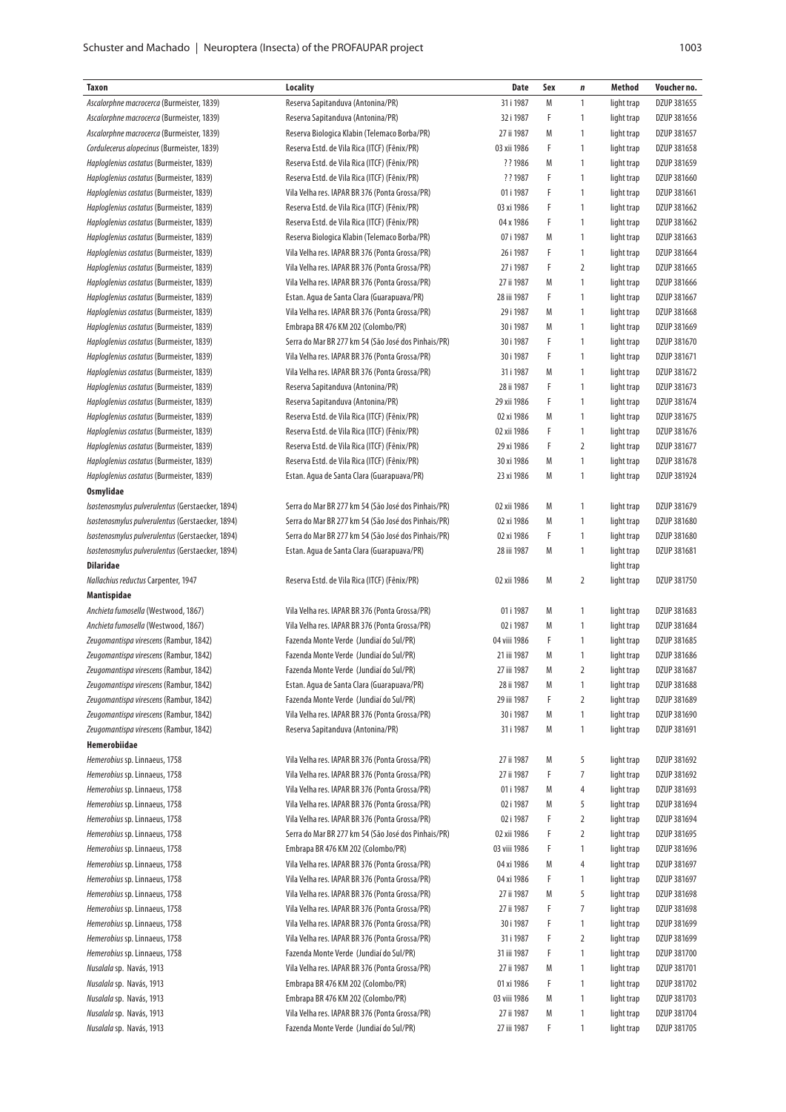|        | ٦       |           |
|--------|---------|-----------|
| $\sim$ | ×<br>۰. | . .<br>۰. |

| Taxon                                            | <b>Locality</b>                                     | <b>Date</b>  | Sex | $\pmb{n}$      | Method     | Voucher no. |
|--------------------------------------------------|-----------------------------------------------------|--------------|-----|----------------|------------|-------------|
| Ascalorphne macrocerca (Burmeister, 1839)        | Reserva Sapitanduva (Antonina/PR)                   | 31 i 1987    | M   | 1              | light trap | DZUP 381655 |
| Ascalorphne macrocerca (Burmeister, 1839)        | Reserva Sapitanduva (Antonina/PR)                   | 32 i 1987    | F   | 1              | light trap | DZUP 381656 |
| Ascalorphne macrocerca (Burmeister, 1839)        | Reserva Biologica Klabin (Telemaco Borba/PR)        | 27 ii 1987   | M   | 1              | light trap | DZUP 381657 |
| Cordulecerus alopecinus (Burmeister, 1839)       | Reserva Estd. de Vila Rica (ITCF) (Fênix/PR)        | 03 xii 1986  | F   | 1              | light trap | DZUP 381658 |
| Haploglenius costatus (Burmeister, 1839)         | Reserva Estd. de Vila Rica (ITCF) (Fênix/PR)        | ? ? 1986     | M   | 1              | light trap | DZUP 381659 |
| Haploglenius costatus (Burmeister, 1839)         | Reserva Estd. de Vila Rica (ITCF) (Fênix/PR)        | ? ? 1987     | F   | 1              | light trap | DZUP 381660 |
| Haploglenius costatus (Burmeister, 1839)         | Vila Velha res. IAPAR BR 376 (Ponta Grossa/PR)      | 01 i 1987    | F   | 1              | light trap | DZUP 381661 |
| Haploglenius costatus (Burmeister, 1839)         | Reserva Estd. de Vila Rica (ITCF) (Fênix/PR)        | 03 xi 1986   | F   | 1              | light trap | DZUP 381662 |
| Haploglenius costatus (Burmeister, 1839)         | Reserva Estd. de Vila Rica (ITCF) (Fênix/PR)        | 04 x 1986    | F   | 1              | light trap | DZUP 381662 |
| Haploglenius costatus (Burmeister, 1839)         | Reserva Biologica Klabin (Telemaco Borba/PR)        | 07 i 1987    | M   | 1              | light trap | DZUP 381663 |
| Haploglenius costatus (Burmeister, 1839)         | Vila Velha res. IAPAR BR 376 (Ponta Grossa/PR)      | 26 i 1987    | F   | 1              | light trap | DZUP 381664 |
| Haploglenius costatus (Burmeister, 1839)         | Vila Velha res. IAPAR BR 376 (Ponta Grossa/PR)      | 27 i 1987    | F   | $\overline{2}$ | light trap | DZUP 381665 |
| Haploglenius costatus (Burmeister, 1839)         | Vila Velha res. IAPAR BR 376 (Ponta Grossa/PR)      | 27 ii 1987   | M   | 1              | light trap | DZUP 381666 |
| Haploglenius costatus (Burmeister, 1839)         | Estan. Agua de Santa Clara (Guarapuava/PR)          | 28 iii 1987  | F   | 1              | light trap | DZUP 381667 |
| Haploglenius costatus (Burmeister, 1839)         | Vila Velha res. IAPAR BR 376 (Ponta Grossa/PR)      | 29 i 1987    | M   | 1              | light trap | DZUP 381668 |
| Haploglenius costatus (Burmeister, 1839)         | Embrapa BR 476 KM 202 (Colombo/PR)                  | 30 i 1987    | M   | 1              | light trap | DZUP 381669 |
| Haploglenius costatus (Burmeister, 1839)         | Serra do Mar BR 277 km 54 (São José dos Pinhais/PR) | 30 i 1987    | F   | 1              | light trap | DZUP 381670 |
| Haploglenius costatus (Burmeister, 1839)         | Vila Velha res. IAPAR BR 376 (Ponta Grossa/PR)      | 30 i 1987    | F   | 1              | light trap | DZUP 381671 |
| Haploglenius costatus (Burmeister, 1839)         | Vila Velha res. IAPAR BR 376 (Ponta Grossa/PR)      | 31 i 1987    | M   | 1              | light trap | DZUP 381672 |
| Haploglenius costatus (Burmeister, 1839)         | Reserva Sapitanduva (Antonina/PR)                   | 28 ii 1987   | F   | 1              | light trap | DZUP 381673 |
| Haploglenius costatus (Burmeister, 1839)         | Reserva Sapitanduva (Antonina/PR)                   | 29 xii 1986  | F   | 1              | light trap | DZUP 381674 |
| Haploglenius costatus (Burmeister, 1839)         | Reserva Estd. de Vila Rica (ITCF) (Fênix/PR)        | 02 xi 1986   | M   | 1              | light trap | DZUP 381675 |
| Haploglenius costatus (Burmeister, 1839)         | Reserva Estd. de Vila Rica (ITCF) (Fênix/PR)        | 02 xii 1986  | F   | 1              | light trap | DZUP 381676 |
| Haploglenius costatus (Burmeister, 1839)         | Reserva Estd. de Vila Rica (ITCF) (Fênix/PR)        | 29 xi 1986   | F   | 2              | light trap | DZUP 381677 |
| Haploglenius costatus (Burmeister, 1839)         | Reserva Estd. de Vila Rica (ITCF) (Fênix/PR)        | 30 xi 1986   | M   | 1              | light trap | DZUP 381678 |
|                                                  |                                                     |              |     |                |            |             |
| Haploglenius costatus (Burmeister, 1839)         | Estan. Agua de Santa Clara (Guarapuava/PR)          | 23 xi 1986   | M   | 1              | light trap | DZUP 381924 |
| Osmylidae                                        |                                                     |              |     |                |            |             |
| Isostenosmylus pulverulentus (Gerstaecker, 1894) | Serra do Mar BR 277 km 54 (São José dos Pinhais/PR) | 02 xii 1986  | M   | 1              | light trap | DZUP 381679 |
| Isostenosmylus pulverulentus (Gerstaecker, 1894) | Serra do Mar BR 277 km 54 (São José dos Pinhais/PR) | 02 xi 1986   | M   | 1              | light trap | DZUP 381680 |
| Isostenosmylus pulverulentus (Gerstaecker, 1894) | Serra do Mar BR 277 km 54 (São José dos Pinhais/PR) | 02 xi 1986   | F   | 1              | light trap | DZUP 381680 |
| Isostenosmylus pulverulentus (Gerstaecker, 1894) | Estan. Agua de Santa Clara (Guarapuava/PR)          | 28 iii 1987  | M   | 1              | light trap | DZUP 381681 |
| <b>Dilaridae</b>                                 |                                                     |              |     |                | light trap |             |
| Nallachius reductus Carpenter, 1947              | Reserva Estd. de Vila Rica (ITCF) (Fênix/PR)        | 02 xii 1986  | M   | $\overline{2}$ | light trap | DZUP 381750 |
| Mantispidae                                      |                                                     |              |     |                |            |             |
| Anchieta fumosella (Westwood, 1867)              | Vila Velha res. IAPAR BR 376 (Ponta Grossa/PR)      | 01 i 1987    | M   | 1              | light trap | DZUP 381683 |
| Anchieta fumosella (Westwood, 1867)              | Vila Velha res. IAPAR BR 376 (Ponta Grossa/PR)      | 02 i 1987    | M   | 1              | light trap | DZUP 381684 |
| Zeugomantispa virescens (Rambur, 1842)           | Fazenda Monte Verde (Jundiaí do Sul/PR)             | 04 viii 1986 | F   | 1              | light trap | DZUP 381685 |
| Zeugomantispa virescens (Rambur, 1842)           | Fazenda Monte Verde (Jundiaí do Sul/PR)             | 21 iii 1987  | M   | 1              | light trap | DZUP 381686 |
| Zeugomantispa virescens (Rambur, 1842)           | Fazenda Monte Verde (Jundiaí do Sul/PR)             | 27 iii 1987  | M   | 2              | light trap | DZUP 381687 |
| Zeugomantispa virescens (Rambur, 1842)           | Estan. Agua de Santa Clara (Guarapuava/PR)          | 28 ii 1987   | M   | 1              | light trap | DZUP 381688 |
| Zeugomantispa virescens (Rambur, 1842)           | Fazenda Monte Verde (Jundiaí do Sul/PR)             | 29 iii 1987  | F   | $\overline{2}$ | light trap | DZUP 381689 |
| Zeugomantispa virescens (Rambur, 1842)           | Vila Velha res. IAPAR BR 376 (Ponta Grossa/PR)      | 30 i 1987    | M   | 1              | light trap | DZUP 381690 |
| Zeugomantispa virescens (Rambur, 1842)           | Reserva Sapitanduva (Antonina/PR)                   | 31 i 1987    | Μ   | 1              | light trap | DZUP 381691 |
| Hemerobiidae                                     |                                                     |              |     |                |            |             |
| Hemerobius sp. Linnaeus, 1758                    | Vila Velha res. IAPAR BR 376 (Ponta Grossa/PR)      | 27 ii 1987   | Μ   | 5              | light trap | DZUP 381692 |
| Hemerobius sp. Linnaeus, 1758                    | Vila Velha res. IAPAR BR 376 (Ponta Grossa/PR)      | 27 ii 1987   | F   | 7              | light trap | DZUP 381692 |
| Hemerobius sp. Linnaeus, 1758                    | Vila Velha res. IAPAR BR 376 (Ponta Grossa/PR)      | 01 i 1987    | M   | 4              | light trap | DZUP 381693 |
| Hemerobius sp. Linnaeus, 1758                    | Vila Velha res. IAPAR BR 376 (Ponta Grossa/PR)      | 02 i 1987    | M   | 5              | light trap | DZUP 381694 |
| Hemerobius sp. Linnaeus, 1758                    | Vila Velha res. IAPAR BR 376 (Ponta Grossa/PR)      | 02 i 1987    | F   | 2              | light trap | DZUP 381694 |
| Hemerobius sp. Linnaeus, 1758                    | Serra do Mar BR 277 km 54 (São José dos Pinhais/PR) | 02 xii 1986  | F   | 2              | light trap | DZUP 381695 |
| Hemerobius sp. Linnaeus, 1758                    | Embrapa BR 476 KM 202 (Colombo/PR)                  | 03 viii 1986 | F   | 1              | light trap | DZUP 381696 |
| Hemerobius sp. Linnaeus, 1758                    | Vila Velha res. IAPAR BR 376 (Ponta Grossa/PR)      | 04 xi 1986   | M   | 4              | light trap | DZUP 381697 |
| Hemerobius sp. Linnaeus, 1758                    | Vila Velha res. IAPAR BR 376 (Ponta Grossa/PR)      | 04 xi 1986   | F   | 1              | light trap | DZUP 381697 |
| Hemerobius sp. Linnaeus, 1758                    | Vila Velha res. IAPAR BR 376 (Ponta Grossa/PR)      | 27 ii 1987   | M   | 5              | light trap | DZUP 381698 |
| Hemerobius sp. Linnaeus, 1758                    | Vila Velha res. IAPAR BR 376 (Ponta Grossa/PR)      | 27 ii 1987   | F   | 7              | light trap | DZUP 381698 |
| Hemerobius sp. Linnaeus, 1758                    | Vila Velha res. IAPAR BR 376 (Ponta Grossa/PR)      | 30 i 1987    | F   | 1              | light trap | DZUP 381699 |
| Hemerobius sp. Linnaeus, 1758                    | Vila Velha res. IAPAR BR 376 (Ponta Grossa/PR)      | 31 i 1987    | F   | 2              | light trap | DZUP 381699 |
| Hemerobius sp. Linnaeus, 1758                    | Fazenda Monte Verde (Jundiaí do Sul/PR)             | 31 iii 1987  | F   | 1              | light trap | DZUP 381700 |
| Nusalala sp. Navás, 1913                         | Vila Velha res. IAPAR BR 376 (Ponta Grossa/PR)      | 27 ii 1987   | M   | 1              | light trap | DZUP 381701 |
| Nusalala sp. Navás, 1913                         | Embrapa BR 476 KM 202 (Colombo/PR)                  | 01 xi 1986   | F   | 1              | light trap | DZUP 381702 |
| Nusalala sp. Navás, 1913                         | Embrapa BR 476 KM 202 (Colombo/PR)                  | 03 viii 1986 | M   | 1              | light trap | DZUP 381703 |
| Nusalala sp. Navás, 1913                         | Vila Velha res. IAPAR BR 376 (Ponta Grossa/PR)      | 27 ii 1987   | M   | 1              | light trap | DZUP 381704 |
| Nusalala sp. Navás, 1913                         | Fazenda Monte Verde (Jundiaí do Sul/PR)             | 27 iii 1987  | F   | 1              | light trap | DZUP 381705 |
|                                                  |                                                     |              |     |                |            |             |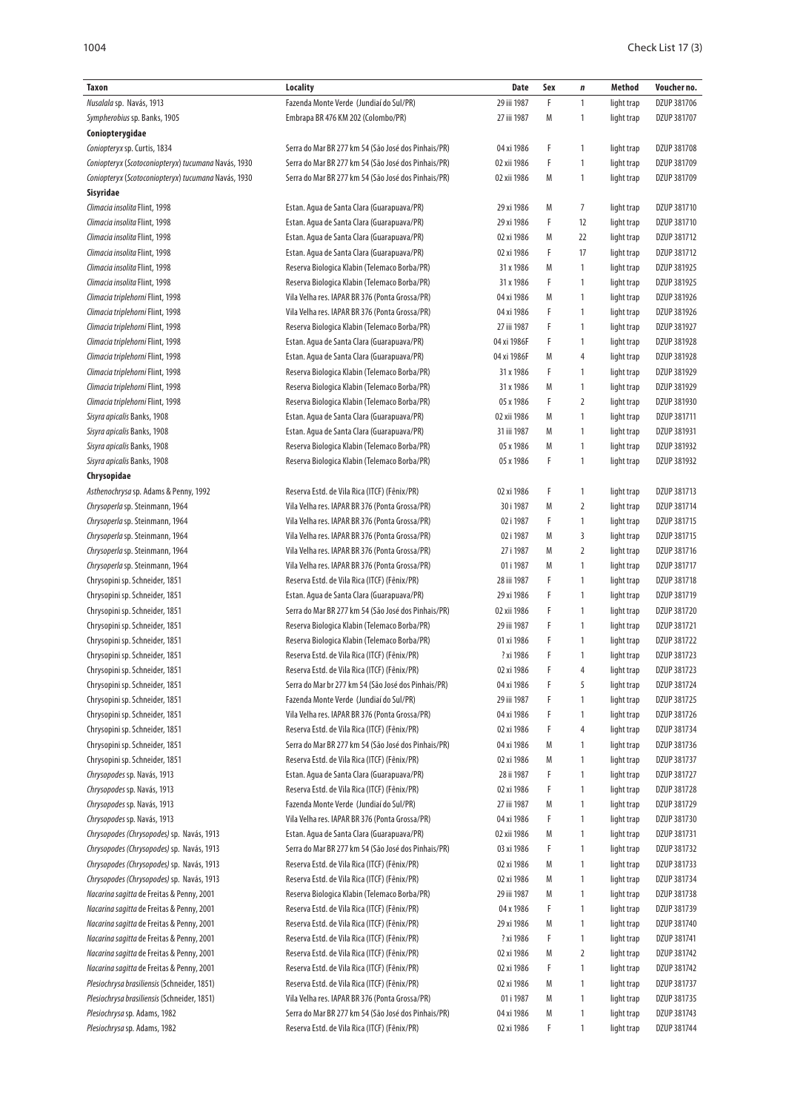| Taxon                                               | Locality                                            | Date        | Sex | n              | Method     | Voucher no. |
|-----------------------------------------------------|-----------------------------------------------------|-------------|-----|----------------|------------|-------------|
| Nusalala sp. Navás, 1913                            | Fazenda Monte Verde (Jundiaí do Sul/PR)             | 29 iii 1987 | F   | $\mathbf{1}$   | light trap | DZUP 381706 |
| Sympherobius sp. Banks, 1905                        | Embrapa BR 476 KM 202 (Colombo/PR)                  | 27 iii 1987 | М   | $\mathbf{1}$   | light trap | DZUP 381707 |
| Coniopterygidae                                     |                                                     |             |     |                |            |             |
| Coniopteryx sp. Curtis, 1834                        | Serra do Mar BR 277 km 54 (São José dos Pinhais/PR) | 04 xi 1986  | F   | $\mathbf{1}$   | light trap | DZUP 381708 |
| Coniopteryx (Scotoconiopteryx) tucumana Navás, 1930 | Serra do Mar BR 277 km 54 (São José dos Pinhais/PR) | 02 xii 1986 | F   | 1              | light trap | DZUP 381709 |
| Coniopteryx (Scotoconiopteryx) tucumana Navás, 1930 | Serra do Mar BR 277 km 54 (São José dos Pinhais/PR) | 02 xii 1986 | М   | 1              | light trap | DZUP 381709 |
| Sisyridae                                           |                                                     |             |     |                |            |             |
| Climacia insolita Flint, 1998                       | Estan. Agua de Santa Clara (Guarapuava/PR)          | 29 xi 1986  | Μ   | $\overline{7}$ | light trap | DZUP 381710 |
| Climacia insolita Flint, 1998                       | Estan. Agua de Santa Clara (Guarapuava/PR)          | 29 xi 1986  | F   | 12             | light trap | DZUP 381710 |
| Climacia insolita Flint, 1998                       | Estan. Agua de Santa Clara (Guarapuava/PR)          | 02 xi 1986  | М   | 22             | light trap | DZUP 381712 |
| Climacia insolita Flint, 1998                       | Estan. Agua de Santa Clara (Guarapuava/PR)          | 02 xi 1986  | F   | 17             | light trap | DZUP 381712 |
| Climacia insolita Flint, 1998                       | Reserva Biologica Klabin (Telemaco Borba/PR)        | 31 x 1986   | М   | $\mathbf{1}$   | light trap | DZUP 381925 |
| Climacia insolita Flint, 1998                       | Reserva Biologica Klabin (Telemaco Borba/PR)        | 31 x 1986   | F   | $\mathbf{1}$   | light trap | DZUP 381925 |
| Climacia triplehorni Flint, 1998                    | Vila Velha res. IAPAR BR 376 (Ponta Grossa/PR)      | 04 xi 1986  | M   | $\mathbf{1}$   | light trap | DZUP 381926 |
| Climacia triplehorni Flint, 1998                    | Vila Velha res. IAPAR BR 376 (Ponta Grossa/PR)      | 04 xi 1986  | F   | $\mathbf{1}$   | light trap | DZUP 381926 |
| Climacia triplehorni Flint, 1998                    | Reserva Biologica Klabin (Telemaco Borba/PR)        | 27 iii 1987 | F   | $\mathbf{1}$   | light trap | DZUP 381927 |
| Climacia triplehorni Flint, 1998                    | Estan. Agua de Santa Clara (Guarapuava/PR)          | 04 xi 1986F | F   | $\mathbf{1}$   | light trap | DZUP 381928 |
| Climacia triplehorni Flint, 1998                    | Estan. Agua de Santa Clara (Guarapuava/PR)          | 04 xi 1986F | М   | 4              | light trap | DZUP 381928 |
| Climacia triplehorni Flint, 1998                    | Reserva Biologica Klabin (Telemaco Borba/PR)        | 31 x 1986   | F   | $\mathbf{1}$   | light trap | DZUP 381929 |
| Climacia triplehorni Flint, 1998                    | Reserva Biologica Klabin (Telemaco Borba/PR)        | 31 x 1986   | М   | $\mathbf{1}$   | light trap | DZUP 381929 |
| Climacia triplehorni Flint, 1998                    | Reserva Biologica Klabin (Telemaco Borba/PR)        | 05 x 1986   | F   | 2              | light trap | DZUP 381930 |
| Sisyra apicalis Banks, 1908                         | Estan. Agua de Santa Clara (Guarapuava/PR)          | 02 xii 1986 | М   | $\mathbf{1}$   | light trap | DZUP 381711 |
| Sisyra apicalis Banks, 1908                         | Estan. Agua de Santa Clara (Guarapuava/PR)          | 31 iii 1987 | M   | $\mathbf{1}$   | light trap | DZUP 381931 |
| Sisyra apicalis Banks, 1908                         | Reserva Biologica Klabin (Telemaco Borba/PR)        | 05 x 1986   | Μ   | $\mathbf{1}$   | light trap | DZUP 381932 |
| Sisyra apicalis Banks, 1908                         | Reserva Biologica Klabin (Telemaco Borba/PR)        | 05 x 1986   | F   | 1              | light trap | DZUP 381932 |
| Chrysopidae                                         |                                                     |             |     |                |            |             |
| Asthenochrysa sp. Adams & Penny, 1992               | Reserva Estd. de Vila Rica (ITCF) (Fênix/PR)        | 02 xi 1986  | F   | $\mathbf{1}$   | light trap | DZUP 381713 |
| Chrysoperla sp. Steinmann, 1964                     | Vila Velha res. IAPAR BR 376 (Ponta Grossa/PR)      | 30 i 1987   | M   | $\overline{2}$ | light trap | DZUP 381714 |
| Chrysoperla sp. Steinmann, 1964                     | Vila Velha res. IAPAR BR 376 (Ponta Grossa/PR)      | 02 i 1987   | F   | $\mathbf{1}$   | light trap | DZUP 381715 |
| Chrysoperla sp. Steinmann, 1964                     | Vila Velha res. IAPAR BR 376 (Ponta Grossa/PR)      | 02 i 1987   | М   | 3              | light trap | DZUP 381715 |
| Chrysoperla sp. Steinmann, 1964                     | Vila Velha res. IAPAR BR 376 (Ponta Grossa/PR)      | 27 i 1987   | M   | $\overline{2}$ | light trap | DZUP 381716 |
| Chrysoperla sp. Steinmann, 1964                     | Vila Velha res. IAPAR BR 376 (Ponta Grossa/PR)      | 01 i 1987   | M   | $\mathbf{1}$   | light trap | DZUP 381717 |
| Chrysopini sp. Schneider, 1851                      | Reserva Estd. de Vila Rica (ITCF) (Fênix/PR)        | 28 iii 1987 | F   | $\mathbf{1}$   | light trap | DZUP 381718 |
| Chrysopini sp. Schneider, 1851                      | Estan. Agua de Santa Clara (Guarapuava/PR)          | 29 xi 1986  | F   | $\mathbf{1}$   | light trap | DZUP 381719 |
| Chrysopini sp. Schneider, 1851                      | Serra do Mar BR 277 km 54 (São José dos Pinhais/PR) | 02 xii 1986 | F   | $\mathbf{1}$   | light trap | DZUP 381720 |
| Chrysopini sp. Schneider, 1851                      | Reserva Biologica Klabin (Telemaco Borba/PR)        | 29 iii 1987 | F   | $\mathbf{1}$   | light trap | DZUP 381721 |
| Chrysopini sp. Schneider, 1851                      | Reserva Biologica Klabin (Telemaco Borba/PR)        | 01 xi 1986  | F   | $\mathbf{1}$   | light trap | DZUP 381722 |
| Chrysopini sp. Schneider, 1851                      | Reserva Estd. de Vila Rica (ITCF) (Fênix/PR)        | ? xi 1986   | F   | $\mathbf{1}$   | light trap | DZUP 381723 |
| Chrysopini sp. Schneider, 1851                      | Reserva Estd. de Vila Rica (ITCF) (Fênix/PR)        | 02 xi 1986  | F   | 4              | light trap | DZUP 381723 |
| Chrysopini sp. Schneider, 1851                      | Serra do Mar br 277 km 54 (São José dos Pinhais/PR) | 04 xi 1986  | F   | 5              | light trap | DZUP 381724 |
| Chrysopini sp. Schneider, 1851                      | Fazenda Monte Verde (Jundiaí do Sul/PR)             | 29 iii 1987 | F   | 1              | light trap | DZUP 381725 |
| Chrysopini sp. Schneider, 1851                      | Vila Velha res. IAPAR BR 376 (Ponta Grossa/PR)      | 04 xi 1986  | F   | $\mathbf{1}$   | light trap | DZUP 381726 |
| Chrysopini sp. Schneider, 1851                      | Reserva Estd. de Vila Rica (ITCF) (Fênix/PR)        | 02 xi 1986  | F   | 4              | light trap | DZUP 381734 |
| Chrysopini sp. Schneider, 1851                      | Serra do Mar BR 277 km 54 (São José dos Pinhais/PR) | 04 xi 1986  | М   | $\mathbf{1}$   | light trap | DZUP 381736 |
| Chrysopini sp. Schneider, 1851                      | Reserva Estd. de Vila Rica (ITCF) (Fênix/PR)        | 02 xi 1986  | M   | $\mathbf{1}$   | light trap | DZUP 381737 |
| Chrysopodes sp. Navás, 1913                         | Estan. Agua de Santa Clara (Guarapuava/PR)          | 28 ii 1987  | F   | $\mathbf{1}$   | light trap | DZUP 381727 |
| Chrysopodes sp. Navás, 1913                         | Reserva Estd. de Vila Rica (ITCF) (Fênix/PR)        | 02 xi 1986  | F   | $\mathbf{1}$   | light trap | DZUP 381728 |
| Chrysopodes sp. Navás, 1913                         | Fazenda Monte Verde (Jundiaí do Sul/PR)             | 27 iii 1987 | М   | $\mathbf{1}$   | light trap | DZUP 381729 |
| Chrysopodes sp. Navás, 1913                         | Vila Velha res. IAPAR BR 376 (Ponta Grossa/PR)      | 04 xi 1986  | F   | $\mathbf{1}$   | light trap | DZUP 381730 |
| Chrysopodes (Chrysopodes) sp. Navás, 1913           | Estan. Aqua de Santa Clara (Guarapuava/PR)          | 02 xii 1986 | Μ   | $\mathbf{1}$   | light trap | DZUP 381731 |
| Chrysopodes (Chrysopodes) sp. Navás, 1913           | Serra do Mar BR 277 km 54 (São José dos Pinhais/PR) | 03 xi 1986  | F   | $\mathbf{1}$   | light trap | DZUP 381732 |
| Chrysopodes (Chrysopodes) sp. Navás, 1913           | Reserva Estd. de Vila Rica (ITCF) (Fênix/PR)        | 02 xi 1986  | Μ   | $\mathbf{1}$   | light trap | DZUP 381733 |
| Chrysopodes (Chrysopodes) sp. Navás, 1913           | Reserva Estd. de Vila Rica (ITCF) (Fênix/PR)        | 02 xi 1986  | М   | $\mathbf{1}$   | light trap | DZUP 381734 |
| Nacarina sagitta de Freitas & Penny, 2001           | Reserva Biologica Klabin (Telemaco Borba/PR)        | 29 iii 1987 | Μ   | $\mathbf{1}$   | light trap | DZUP 381738 |
| Nacarina sagitta de Freitas & Penny, 2001           | Reserva Estd. de Vila Rica (ITCF) (Fênix/PR)        | 04 x 1986   | F   | $\mathbf{1}$   | light trap | DZUP 381739 |
| Nacarina sagitta de Freitas & Penny, 2001           | Reserva Estd. de Vila Rica (ITCF) (Fênix/PR)        | 29 xi 1986  | Μ   | $\mathbf{1}$   | light trap | DZUP 381740 |
| Nacarina sagitta de Freitas & Penny, 2001           | Reserva Estd. de Vila Rica (ITCF) (Fênix/PR)        | ? xi 1986   | F   | $\mathbf{1}$   | light trap | DZUP 381741 |
| Nacarina sagitta de Freitas & Penny, 2001           | Reserva Estd. de Vila Rica (ITCF) (Fênix/PR)        | 02 xi 1986  | Μ   | 2              | light trap | DZUP 381742 |
| Nacarina sagitta de Freitas & Penny, 2001           | Reserva Estd. de Vila Rica (ITCF) (Fênix/PR)        | 02 xi 1986  | F   | $\mathbf{1}$   | light trap | DZUP 381742 |
| Plesiochrysa brasiliensis (Schneider, 1851)         | Reserva Estd. de Vila Rica (ITCF) (Fênix/PR)        | 02 xi 1986  | Μ   | $\mathbf{1}$   | light trap | DZUP 381737 |
| Plesiochrysa brasiliensis (Schneider, 1851)         | Vila Velha res. IAPAR BR 376 (Ponta Grossa/PR)      | 01 i 1987   | M   | $\mathbf{1}$   | light trap | DZUP 381735 |
| Plesiochrysa sp. Adams, 1982                        | Serra do Mar BR 277 km 54 (São José dos Pinhais/PR) | 04 xi 1986  | M   | $\mathbf{1}$   | light trap | DZUP 381743 |
| Plesiochrysa sp. Adams, 1982                        | Reserva Estd. de Vila Rica (ITCF) (Fênix/PR)        | 02 xi 1986  | F   | $\mathbf{1}$   | light trap | DZUP 381744 |
|                                                     |                                                     |             |     |                |            |             |